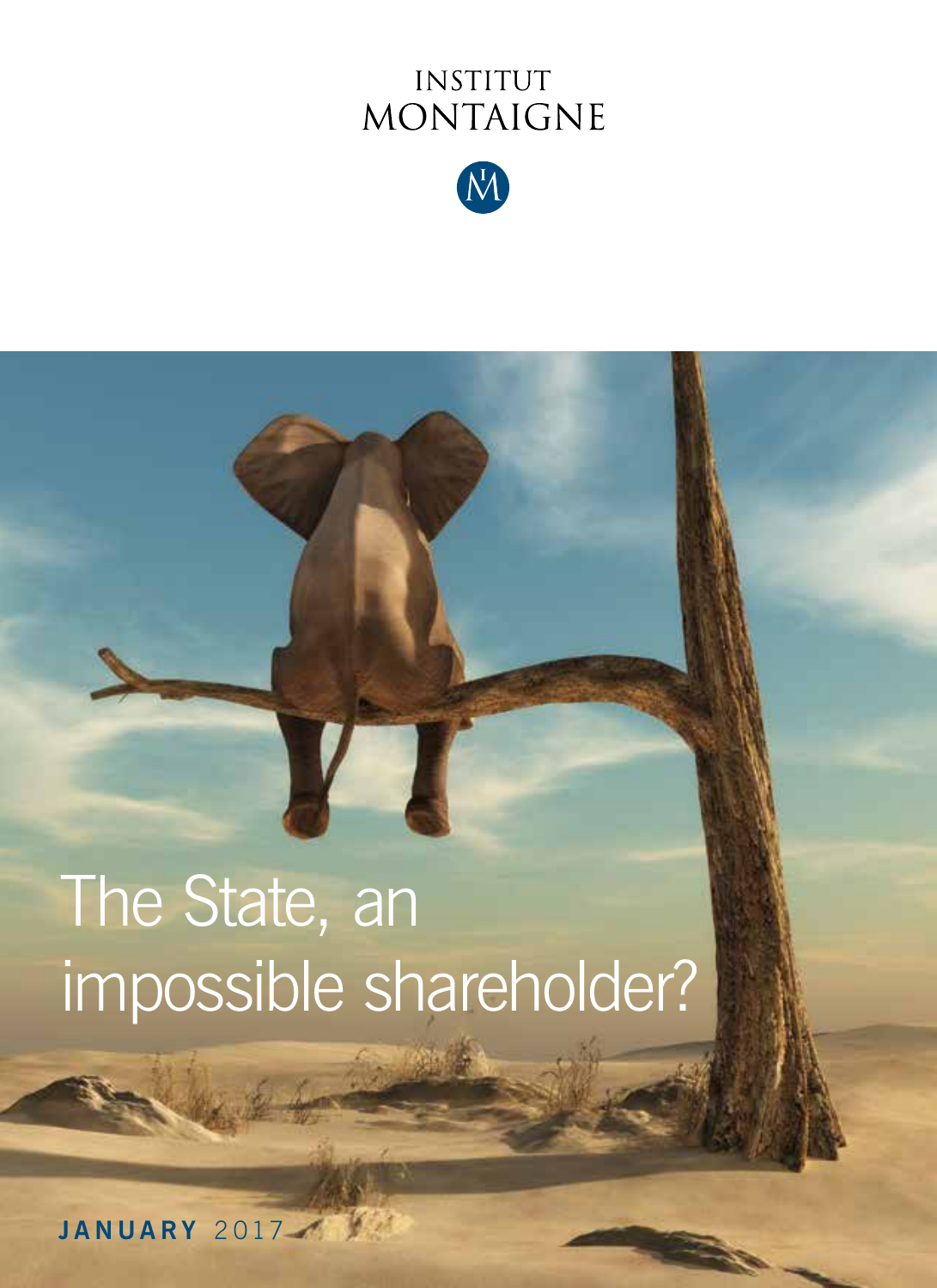## INSTITUT MONTAIGNE



# The State, an impossible shareholder?

**JANUARY** 2017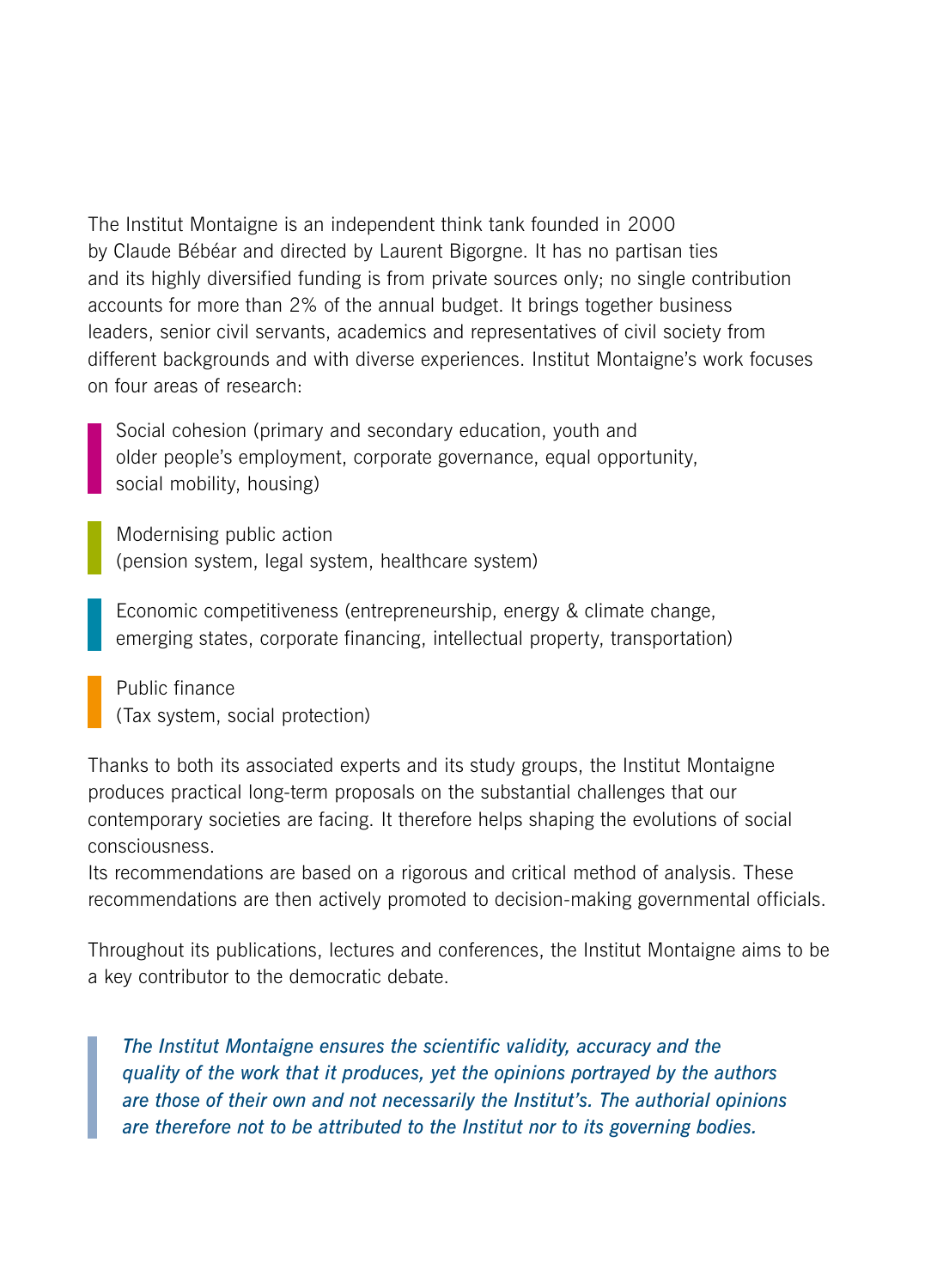The Institut Montaigne is an independent think tank founded in 2000 by Claude Bébéar and directed by Laurent Bigorgne. It has no partisan ties and its highly diversified funding is from private sources only; no single contribution accounts for more than 2% of the annual budget. It brings together business leaders, senior civil servants, academics and representatives of civil society from different backgrounds and with diverse experiences. Institut Montaigne's work focuses on four areas of research:

Social cohesion (primary and secondary education, youth and older people's employment, corporate governance, equal opportunity, social mobility, housing)

Modernising public action (pension system, legal system, healthcare system)

Economic competitiveness (entrepreneurship, energy & climate change, emerging states, corporate financing, intellectual property, transportation)

Public finance (Tax system, social protection)

Thanks to both its associated experts and its study groups, the Institut Montaigne produces practical long-term proposals on the substantial challenges that our contemporary societies are facing. It therefore helps shaping the evolutions of social consciousness.

Its recommendations are based on a rigorous and critical method of analysis. These recommendations are then actively promoted to decision-making governmental officials.

Throughout its publications, lectures and conferences, the Institut Montaigne aims to be a key contributor to the democratic debate.

*The Institut Montaigne ensures the scientific validity, accuracy and the quality of the work that it produces, yet the opinions portrayed by the authors are those of their own and not necessarily the Institut's. The authorial opinions are therefore not to be attributed to the Institut nor to its governing bodies.*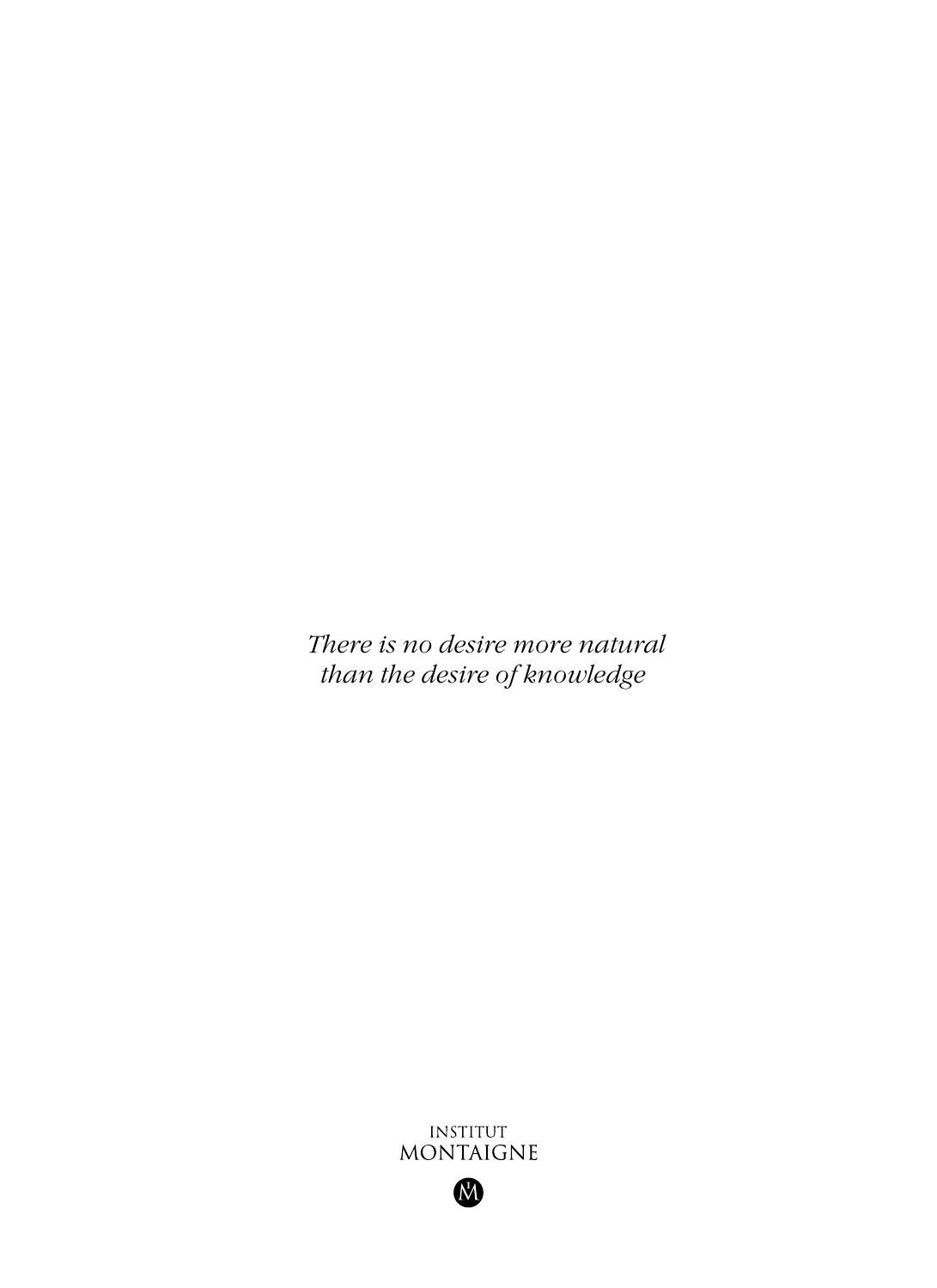*There is no desire more natural than the desire of knowledge*



M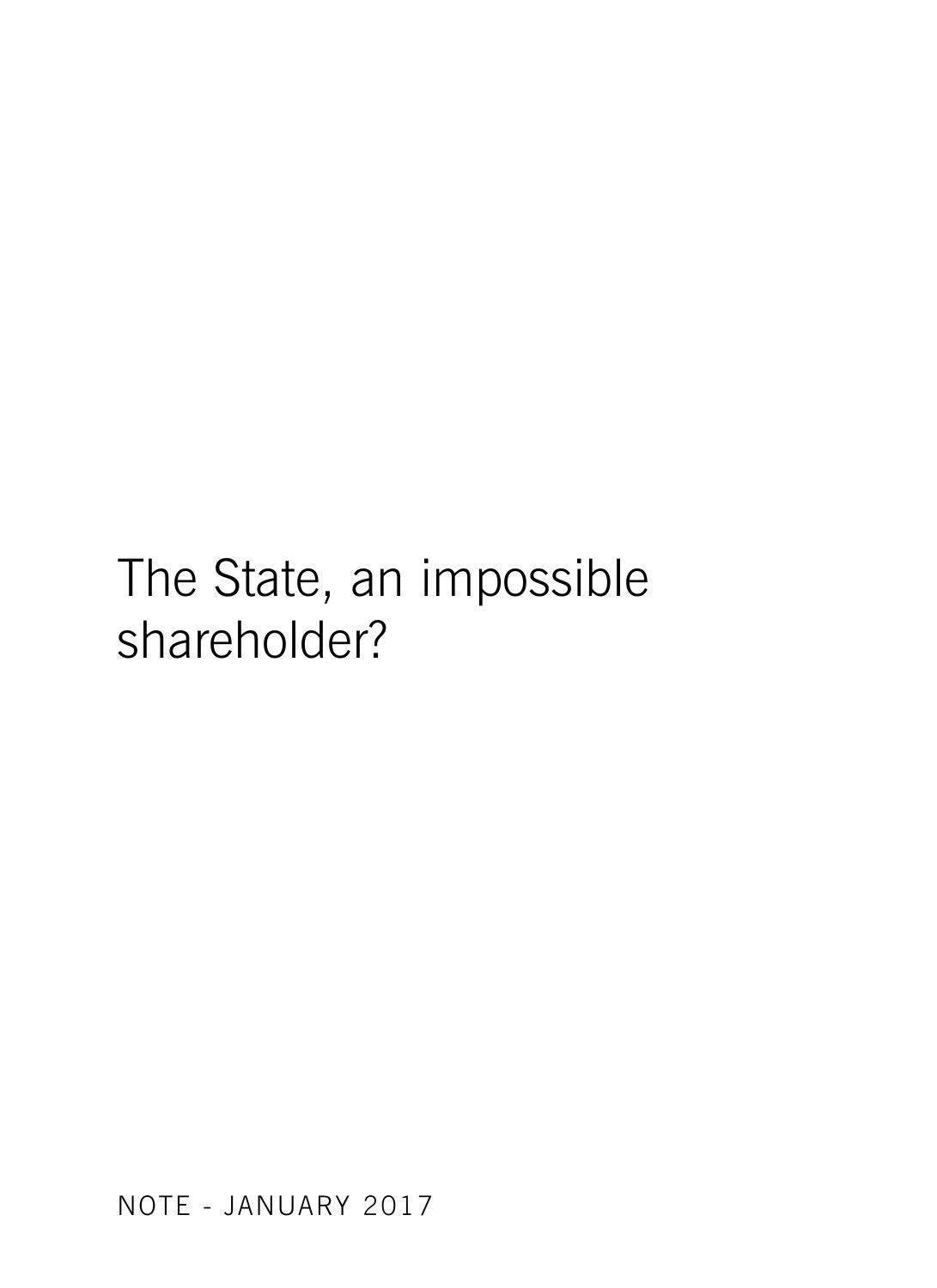## The State, an impossible shareholder?

NOTE - JANUARY 2017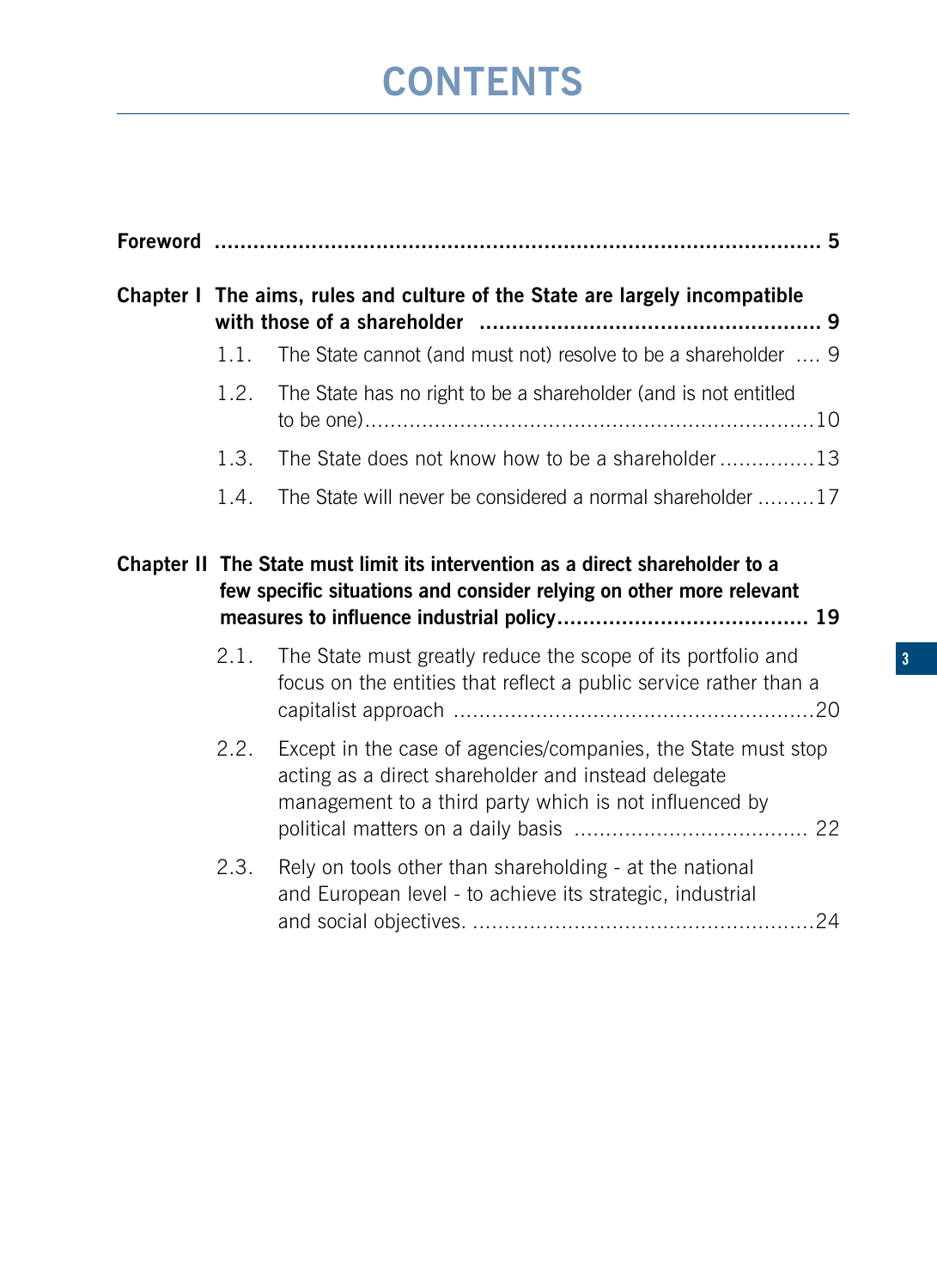## **CONTENTS**

<span id="page-4-0"></span>

|  | Chapter I The aims, rules and culture of the State are largely incompatible |                                                                                                                                                                                |
|--|-----------------------------------------------------------------------------|--------------------------------------------------------------------------------------------------------------------------------------------------------------------------------|
|  | 1.1.                                                                        | The State cannot (and must not) resolve to be a shareholder  9                                                                                                                 |
|  | 1.2.                                                                        | The State has no right to be a shareholder (and is not entitled                                                                                                                |
|  | 1.3.                                                                        | The State does not know how to be a shareholder13                                                                                                                              |
|  | 1.4.                                                                        | The State will never be considered a normal shareholder 17                                                                                                                     |
|  |                                                                             | Chapter II The State must limit its intervention as a direct shareholder to a<br>few specific situations and consider relying on other more relevant                           |
|  | 2.1.                                                                        | The State must greatly reduce the scope of its portfolio and<br>focus on the entities that reflect a public service rather than a                                              |
|  | 2.2.                                                                        | Except in the case of agencies/companies, the State must stop<br>acting as a direct shareholder and instead delegate<br>management to a third party which is not influenced by |
|  | 2.3.                                                                        | Rely on tools other than shareholding - at the national<br>and European level - to achieve its strategic, industrial                                                           |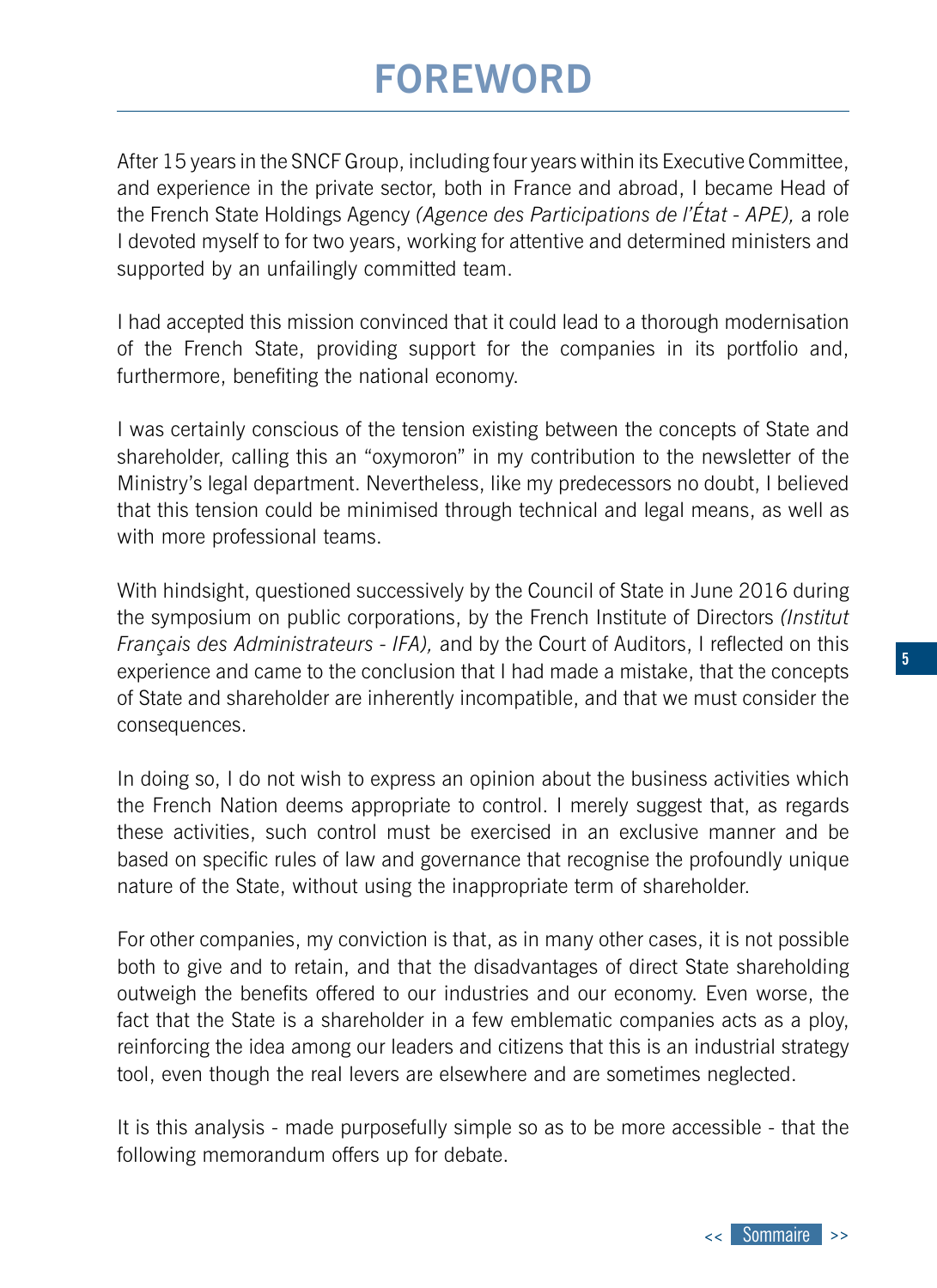## **FOREWORD**

<span id="page-5-0"></span>After 15 years in the SNCF Group, including four years within its Executive Committee, and experience in the private sector, both in France and abroad, I became Head of the French State Holdings Agency *(Agence des Participations de l'État - APE),* a role I devoted myself to for two years, working for attentive and determined ministers and supported by an unfailingly committed team.

I had accepted this mission convinced that it could lead to a thorough modernisation of the French State, providing support for the companies in its portfolio and, furthermore, benefiting the national economy.

I was certainly conscious of the tension existing between the concepts of State and shareholder, calling this an "oxymoron" in my contribution to the newsletter of the Ministry's legal department. Nevertheless, like my predecessors no doubt, I believed that this tension could be minimised through technical and legal means, as well as with more professional teams.

With hindsight, questioned successively by the Council of State in June 2016 during the symposium on public corporations, by the French Institute of Directors *(Institut Français des Administrateurs - IFA),* and by the Court of Auditors, I reflected on this experience and came to the conclusion that I had made a mistake, that the concepts of State and shareholder are inherently incompatible, and that we must consider the consequences.

In doing so, I do not wish to express an opinion about the business activities which the French Nation deems appropriate to control. I merely suggest that, as regards these activities, such control must be exercised in an exclusive manner and be based on specific rules of law and governance that recognise the profoundly unique nature of the State, without using the inappropriate term of shareholder.

For other companies, my conviction is that, as in many other cases, it is not possible both to give and to retain, and that the disadvantages of direct State shareholding outweigh the benefits offered to our industries and our economy. Even worse, the fact that the State is a shareholder in a few emblematic companies acts as a ploy, reinforcing the idea among our leaders and citizens that this is an industrial strategy tool, even though the real levers are elsewhere and are sometimes neglected.

It is this analysis - made purposefully simple so as to be more accessible - that the following memorandum offers up for debate.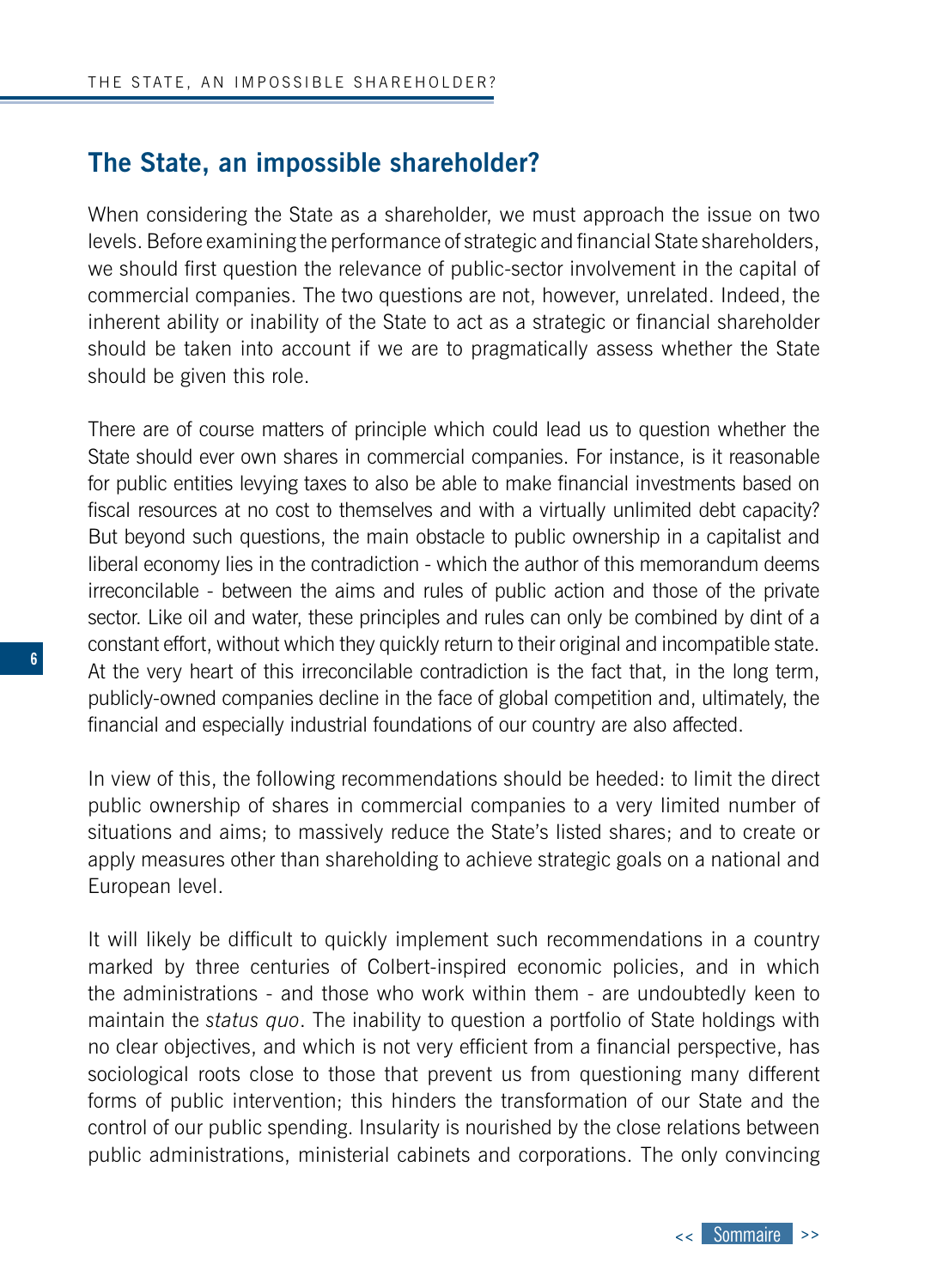### **The State, an impossible shareholder?**

When considering the State as a shareholder, we must approach the issue on two levels. Before examining the performance of strategic and financial State shareholders, we should first question the relevance of public-sector involvement in the capital of commercial companies. The two questions are not, however, unrelated. Indeed, the inherent ability or inability of the State to act as a strategic or financial shareholder should be taken into account if we are to pragmatically assess whether the State should be given this role.

There are of course matters of principle which could lead us to question whether the State should ever own shares in commercial companies. For instance, is it reasonable for public entities levying taxes to also be able to make financial investments based on fiscal resources at no cost to themselves and with a virtually unlimited debt capacity? But beyond such questions, the main obstacle to public ownership in a capitalist and liberal economy lies in the contradiction - which the author of this memorandum deems irreconcilable - between the aims and rules of public action and those of the private sector. Like oil and water, these principles and rules can only be combined by dint of a constant effort, without which they quickly return to their original and incompatible state. At the very heart of this irreconcilable contradiction is the fact that, in the long term, publicly-owned companies decline in the face of global competition and, ultimately, the financial and especially industrial foundations of our country are also affected.

In view of this, the following recommendations should be heeded: to limit the direct public ownership of shares in commercial companies to a very limited number of situations and aims; to massively reduce the State's listed shares; and to create or apply measures other than shareholding to achieve strategic goals on a national and European level.

It will likely be difficult to quickly implement such recommendations in a country marked by three centuries of Colbert-inspired economic policies, and in which the administrations - and those who work within them - are undoubtedly keen to maintain the *status quo*. The inability to question a portfolio of State holdings with no clear objectives, and which is not very efficient from a financial perspective, has sociological roots close to those that prevent us from questioning many different forms of public intervention; this hinders the transformation of our State and the control of our public spending. Insularity is nourished by the close relations between public administrations, ministerial cabinets and corporations. The only convincing

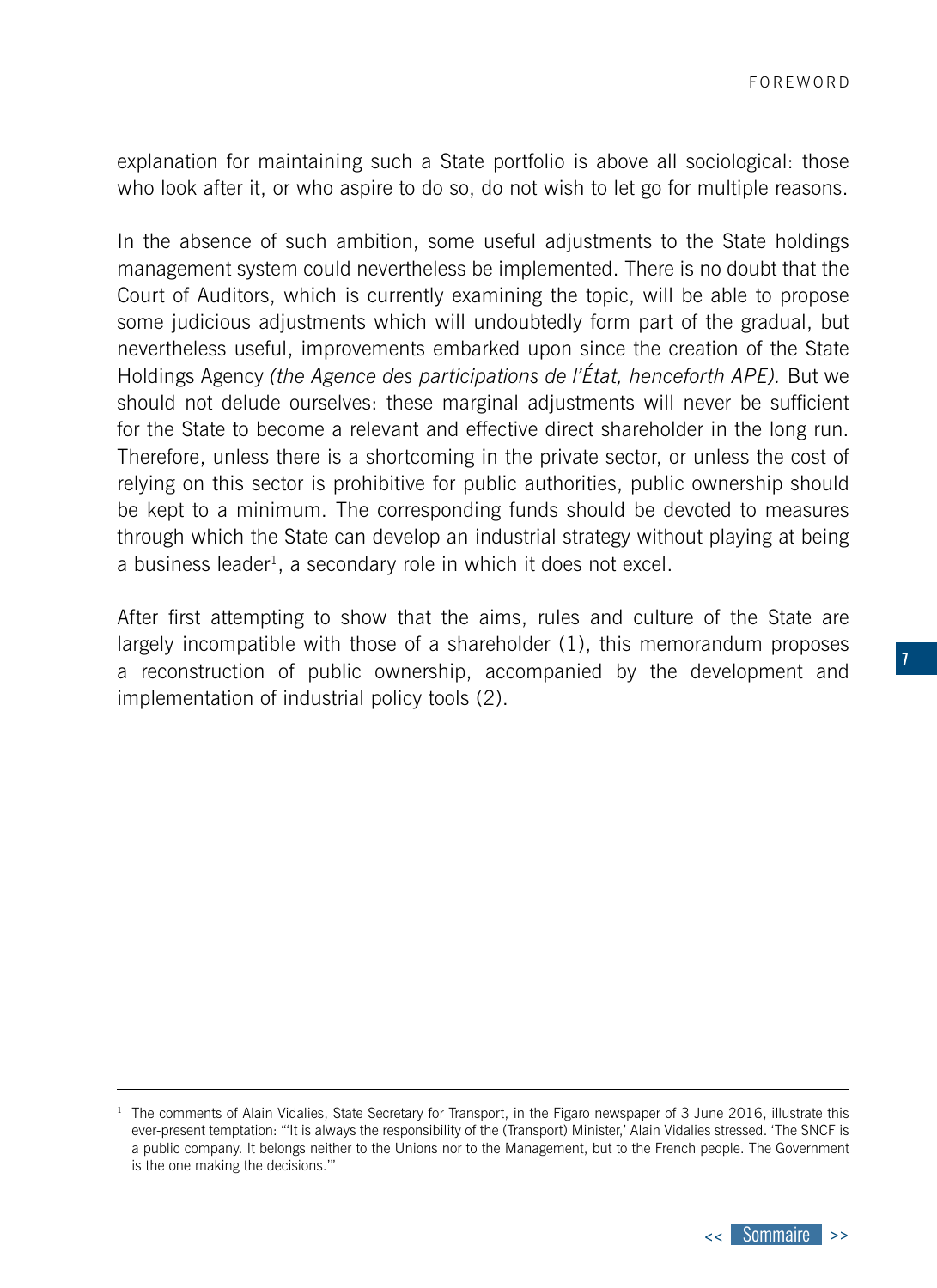explanation for maintaining such a State portfolio is above all sociological: those who look after it, or who aspire to do so, do not wish to let go for multiple reasons.

In the absence of such ambition, some useful adjustments to the State holdings management system could nevertheless be implemented. There is no doubt that the Court of Auditors, which is currently examining the topic, will be able to propose some judicious adjustments which will undoubtedly form part of the gradual, but nevertheless useful, improvements embarked upon since the creation of the State Holdings Agency *(the Agence des participations de l'État, henceforth APE).* But we should not delude ourselves: these marginal adjustments will never be sufficient for the State to become a relevant and effective direct shareholder in the long run. Therefore, unless there is a shortcoming in the private sector, or unless the cost of relying on this sector is prohibitive for public authorities, public ownership should be kept to a minimum. The corresponding funds should be devoted to measures through which the State can develop an industrial strategy without playing at being a business leader<sup>1</sup>, a secondary role in which it does not excel.

After first attempting to show that the aims, rules and culture of the State are largely incompatible with those of a shareholder (1), this memorandum proposes a reconstruction of public ownership, accompanied by the development and implementation of industrial policy tools (2).

 $1$  The comments of Alain Vidalies, State Secretary for Transport, in the Figaro newspaper of 3 June 2016, illustrate this ever-present temptation: "'It is always the responsibility of the (Transport) Minister,' Alain Vidalies stressed. 'The SNCF is a public company. It belongs neither to the Unions nor to the Management, but to the French people. The Government is the one making the decisions.'"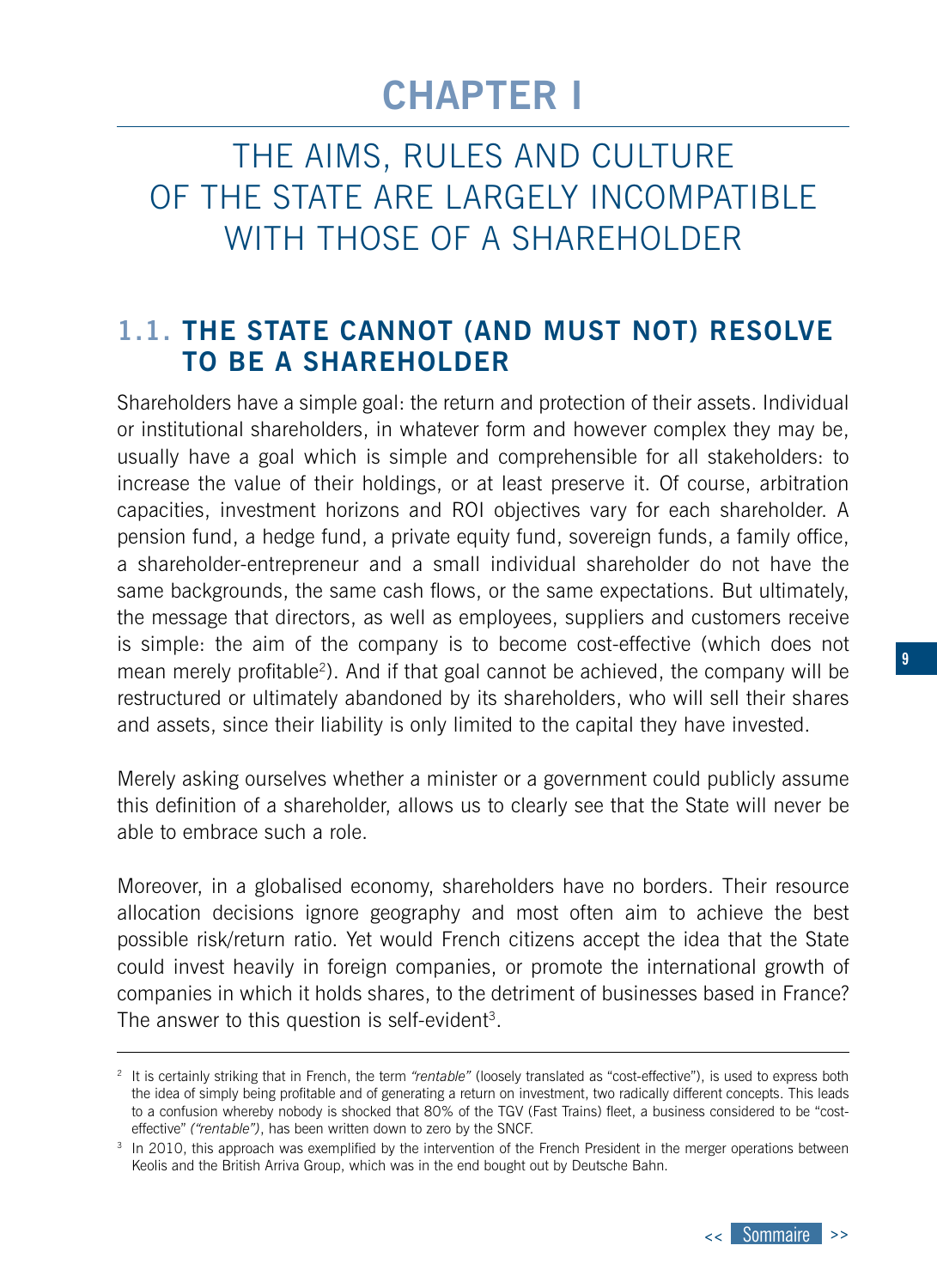## **CHAPTER I**

<span id="page-8-0"></span>THE AIMS, RULES AND CULTURE OF THE STATE ARE LARGELY INCOMPATIBLE WITH THOSE OF A SHARFHOLDER

### **1.1. THE STATE CANNOT (AND MUST NOT) RESOLVE TO BE A SHAREHOLDER**

Shareholders have a simple goal: the return and protection of their assets. Individual or institutional shareholders, in whatever form and however complex they may be, usually have a goal which is simple and comprehensible for all stakeholders: to increase the value of their holdings, or at least preserve it. Of course, arbitration capacities, investment horizons and ROI objectives vary for each shareholder. A pension fund, a hedge fund, a private equity fund, sovereign funds, a family office, a shareholder-entrepreneur and a small individual shareholder do not have the same backgrounds, the same cash flows, or the same expectations. But ultimately, the message that directors, as well as employees, suppliers and customers receive is simple: the aim of the company is to become cost-effective (which does not mean merely profitable<sup>2</sup>). And if that goal cannot be achieved, the company will be restructured or ultimately abandoned by its shareholders, who will sell their shares and assets, since their liability is only limited to the capital they have invested.

Merely asking ourselves whether a minister or a government could publicly assume this definition of a shareholder, allows us to clearly see that the State will never be able to embrace such a role.

Moreover, in a globalised economy, shareholders have no borders. Their resource allocation decisions ignore geography and most often aim to achieve the best possible risk/return ratio. Yet would French citizens accept the idea that the State could invest heavily in foreign companies, or promote the international growth of companies in which it holds shares, to the detriment of businesses based in France? The answer to this question is self-evident<sup>3</sup>.



<sup>2</sup> It is certainly striking that in French, the term *"rentable"* (loosely translated as "cost-effective"), is used to express both the idea of simply being profitable and of generating a return on investment, two radically different concepts. This leads to a confusion whereby nobody is shocked that 80% of the TGV (Fast Trains) fleet, a business considered to be "costeffective" *("rentable")*, has been written down to zero by the SNCF.

<sup>&</sup>lt;sup>3</sup> In 2010, this approach was exemplified by the intervention of the French President in the merger operations between Keolis and the British Arriva Group, which was in the end bought out by Deutsche Bahn.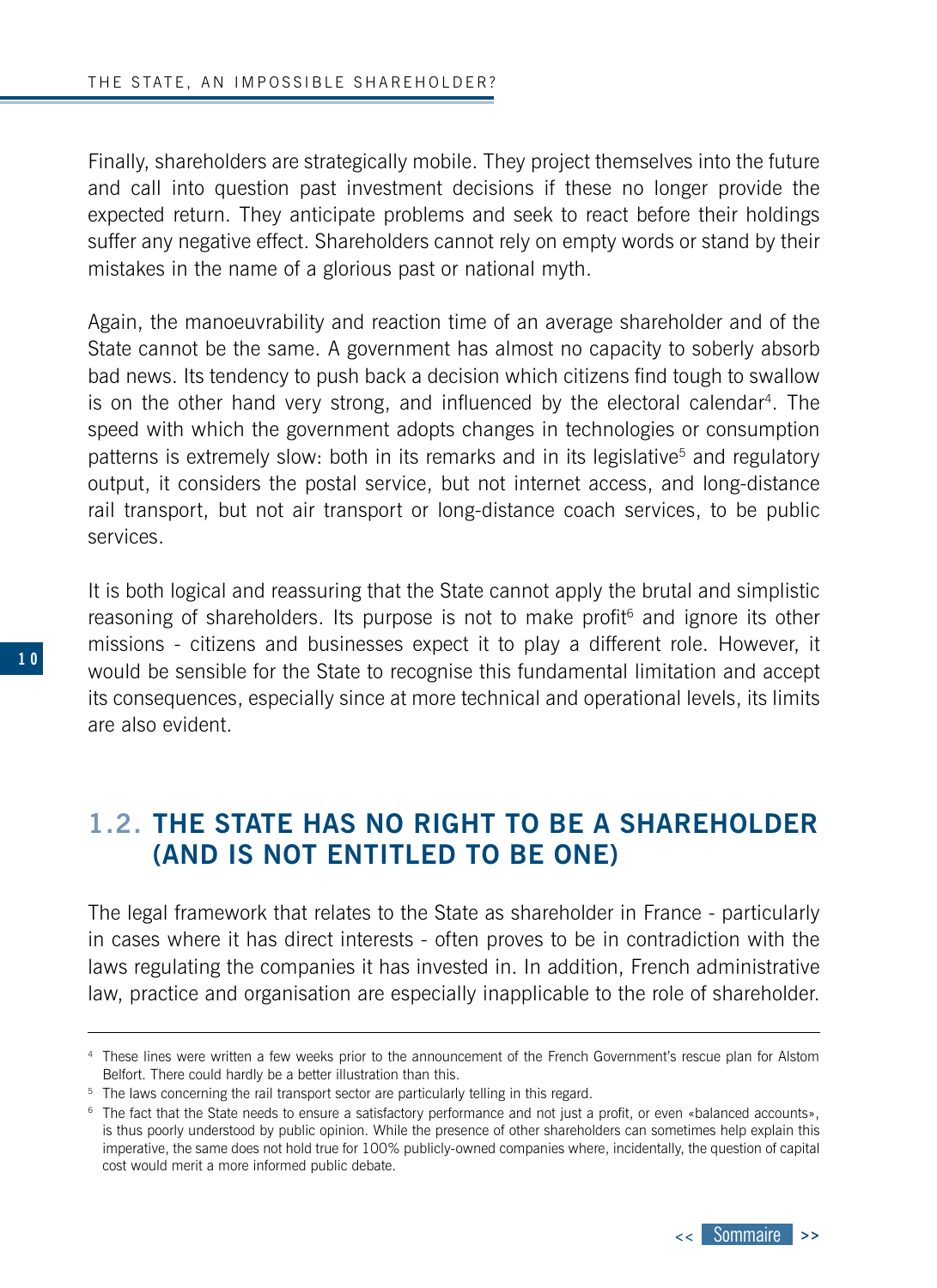<span id="page-9-0"></span>Finally, shareholders are strategically mobile. They project themselves into the future and call into question past investment decisions if these no longer provide the expected return. They anticipate problems and seek to react before their holdings suffer any negative effect. Shareholders cannot rely on empty words or stand by their mistakes in the name of a glorious past or national myth.

Again, the manoeuvrability and reaction time of an average shareholder and of the State cannot be the same. A government has almost no capacity to soberly absorb bad news. Its tendency to push back a decision which citizens find tough to swallow is on the other hand very strong, and influenced by the electoral calendar<sup>4</sup>. The speed with which the government adopts changes in technologies or consumption patterns is extremely slow: both in its remarks and in its legislative<sup>5</sup> and regulatory output, it considers the postal service, but not internet access, and long-distance rail transport, but not air transport or long-distance coach services, to be public services.

It is both logical and reassuring that the State cannot apply the brutal and simplistic reasoning of shareholders. Its purpose is not to make profit<sup>6</sup> and ignore its other missions - citizens and businesses expect it to play a different role. However, it would be sensible for the State to recognise this fundamental limitation and accept its consequences, especially since at more technical and operational levels, its limits are also evident.

### **1.2. THE STATE HAS NO RIGHT TO BE A SHAREHOLDER (AND IS NOT ENTITLED TO BE ONE)**

The legal framework that relates to the State as shareholder in France - particularly in cases where it has direct interests - often proves to be in contradiction with the laws regulating the companies it has invested in. In addition, French administrative law, practice and organisation are especially inapplicable to the role of shareholder.



<sup>4</sup> These lines were written a few weeks prior to the announcement of the French Government's rescue plan for Alstom Belfort. There could hardly be a better illustration than this.

<sup>&</sup>lt;sup>5</sup> The laws concerning the rail transport sector are particularly telling in this regard.

<sup>&</sup>lt;sup>6</sup> The fact that the State needs to ensure a satisfactory performance and not just a profit, or even «balanced accounts», is thus poorly understood by public opinion. While the presence of other shareholders can sometimes help explain this imperative, the same does not hold true for 100% publicly-owned companies where, incidentally, the question of capital cost would merit a more informed public debate.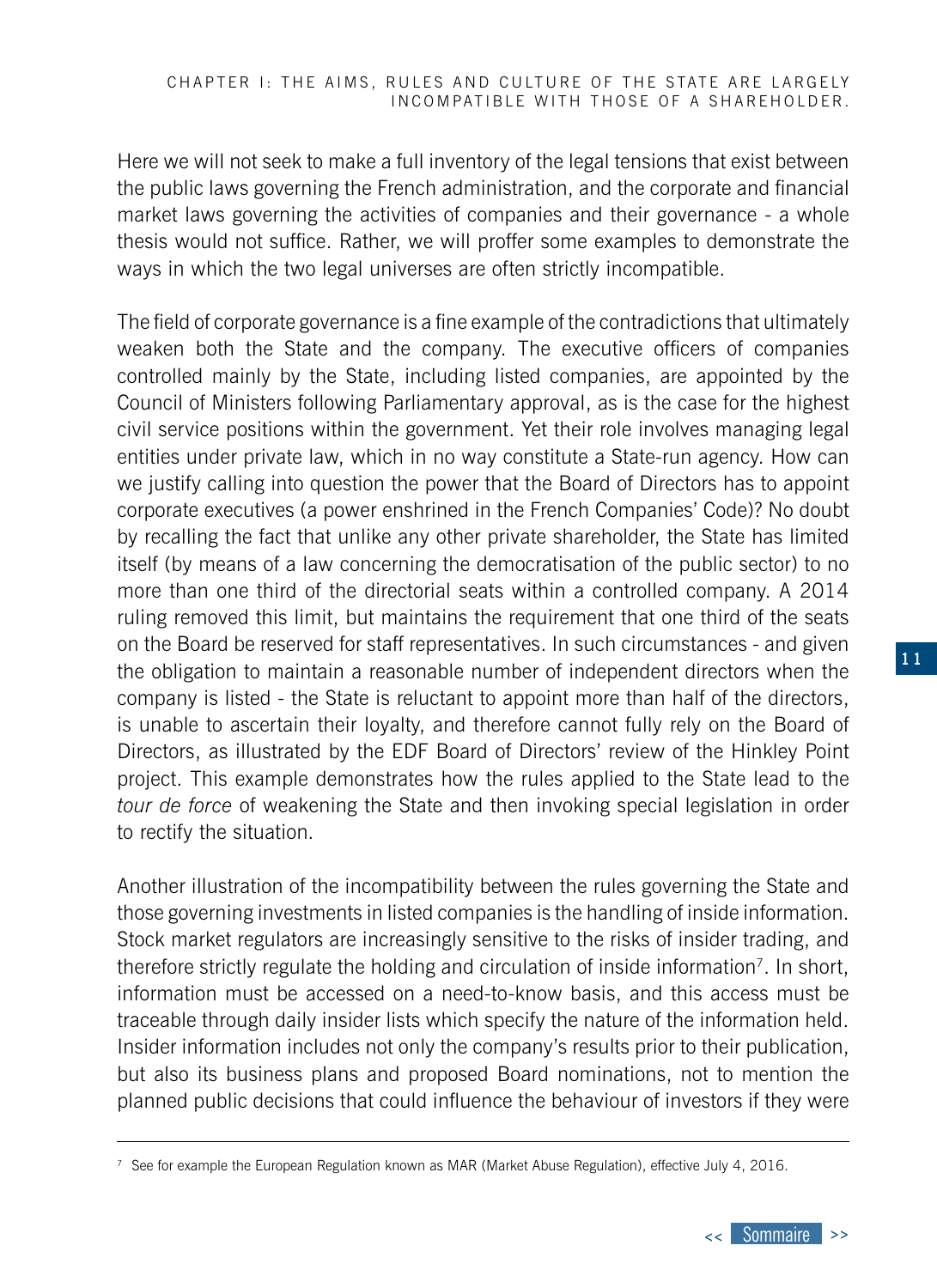Here we will not seek to make a full inventory of the legal tensions that exist between the public laws governing the French administration, and the corporate and financial market laws governing the activities of companies and their governance - a whole thesis would not suffice. Rather, we will proffer some examples to demonstrate the ways in which the two legal universes are often strictly incompatible.

The field of corporate governance is a fine example of the contradictions that ultimately weaken both the State and the company. The executive officers of companies controlled mainly by the State, including listed companies, are appointed by the Council of Ministers following Parliamentary approval, as is the case for the highest civil service positions within the government. Yet their role involves managing legal entities under private law, which in no way constitute a State-run agency. How can we justify calling into question the power that the Board of Directors has to appoint corporate executives (a power enshrined in the French Companies' Code)? No doubt by recalling the fact that unlike any other private shareholder, the State has limited itself (by means of a law concerning the democratisation of the public sector) to no more than one third of the directorial seats within a controlled company. A 2014 ruling removed this limit, but maintains the requirement that one third of the seats on the Board be reserved for staff representatives. In such circumstances - and given the obligation to maintain a reasonable number of independent directors when the company is listed - the State is reluctant to appoint more than half of the directors, is unable to ascertain their loyalty, and therefore cannot fully rely on the Board of Directors, as illustrated by the EDF Board of Directors' review of the Hinkley Point project. This example demonstrates how the rules applied to the State lead to the *tour de force* of weakening the State and then invoking special legislation in order to rectify the situation.

Another illustration of the incompatibility between the rules governing the State and those governing investments in listed companies is the handling of inside information. Stock market regulators are increasingly sensitive to the risks of insider trading, and therefore strictly regulate the holding and circulation of inside information7. In short, information must be accessed on a need-to-know basis, and this access must be traceable through daily insider lists which specify the nature of the information held. Insider information includes not only the company's results prior to their publication, but also its business plans and proposed Board nominations, not to mention the planned public decisions that could influence the behaviour of investors if they were

<sup>7</sup> See for example the European Regulation known as MAR (Market Abuse Regulation), effective July 4, 2016.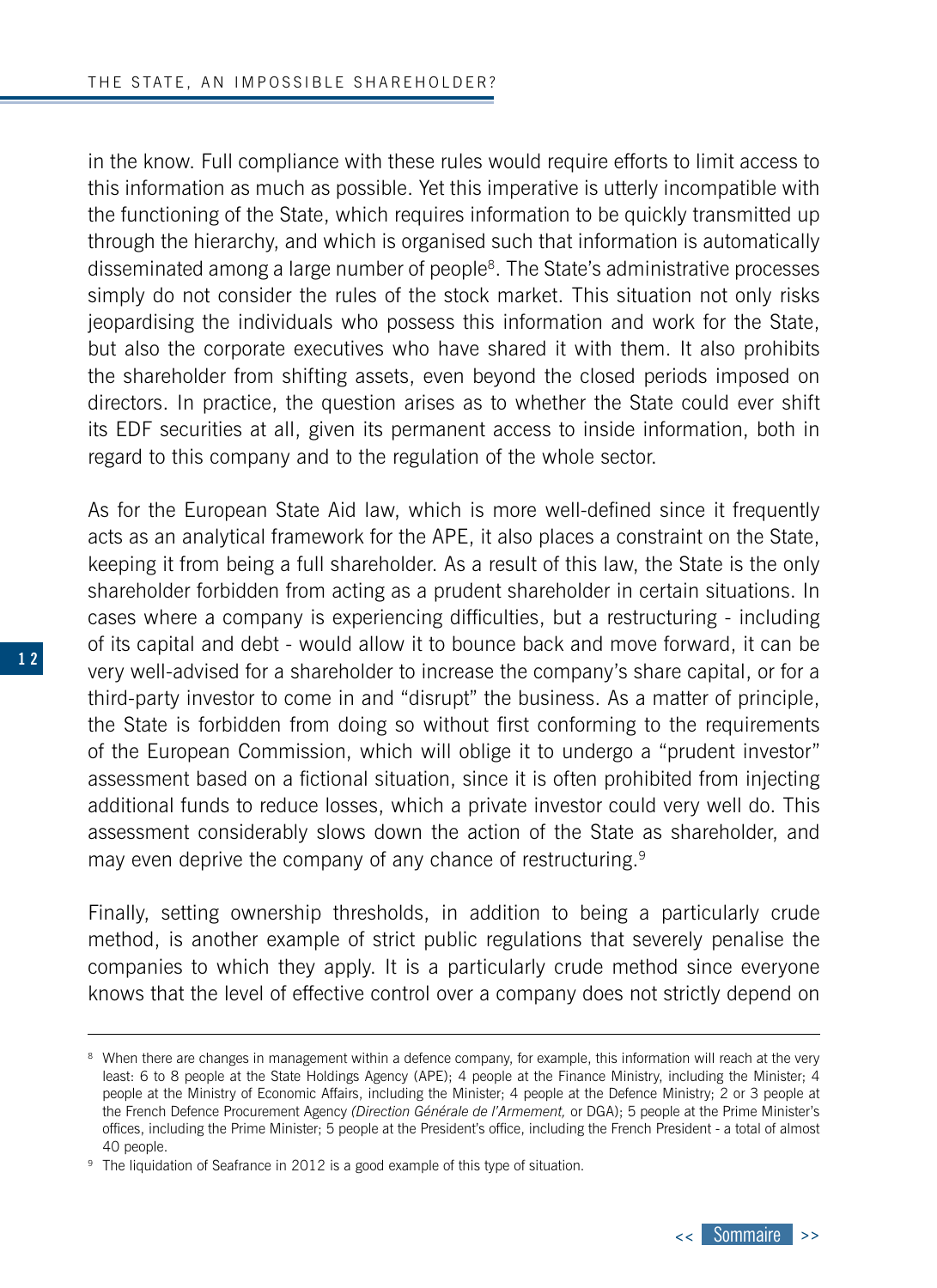in the know. Full compliance with these rules would require efforts to limit access to this information as much as possible. Yet this imperative is utterly incompatible with the functioning of the State, which requires information to be quickly transmitted up through the hierarchy, and which is organised such that information is automatically disseminated among a large number of people8. The State's administrative processes simply do not consider the rules of the stock market. This situation not only risks jeopardising the individuals who possess this information and work for the State, but also the corporate executives who have shared it with them. It also prohibits the shareholder from shifting assets, even beyond the closed periods imposed on directors. In practice, the question arises as to whether the State could ever shift its EDF securities at all, given its permanent access to inside information, both in regard to this company and to the regulation of the whole sector.

As for the European State Aid law, which is more well-defined since it frequently acts as an analytical framework for the APE, it also places a constraint on the State, keeping it from being a full shareholder. As a result of this law, the State is the only shareholder forbidden from acting as a prudent shareholder in certain situations. In cases where a company is experiencing difficulties, but a restructuring - including of its capital and debt - would allow it to bounce back and move forward, it can be very well-advised for a shareholder to increase the company's share capital, or for a third-party investor to come in and "disrupt" the business. As a matter of principle, the State is forbidden from doing so without first conforming to the requirements of the European Commission, which will oblige it to undergo a "prudent investor" assessment based on a fictional situation, since it is often prohibited from injecting additional funds to reduce losses, which a private investor could very well do. This assessment considerably slows down the action of the State as shareholder, and may even deprive the company of any chance of restructuring.<sup>9</sup>

Finally, setting ownership thresholds, in addition to being a particularly crude method, is another example of strict public regulations that severely penalise the companies to which they apply. It is a particularly crude method since everyone knows that the level of effective control over a company does not strictly depend on



<sup>&</sup>lt;sup>8</sup> When there are changes in management within a defence company, for example, this information will reach at the very least: 6 to 8 people at the State Holdings Agency (APE); 4 people at the Finance Ministry, including the Minister; 4 people at the Ministry of Economic Affairs, including the Minister; 4 people at the Defence Ministry; 2 or 3 people at the French Defence Procurement Agency *(Direction Générale de l'Armement,* or DGA); 5 people at the Prime Minister's offices, including the Prime Minister; 5 people at the President's office, including the French President - a total of almost 40 people.

<sup>&</sup>lt;sup>9</sup> The liquidation of Seafrance in 2012 is a good example of this type of situation.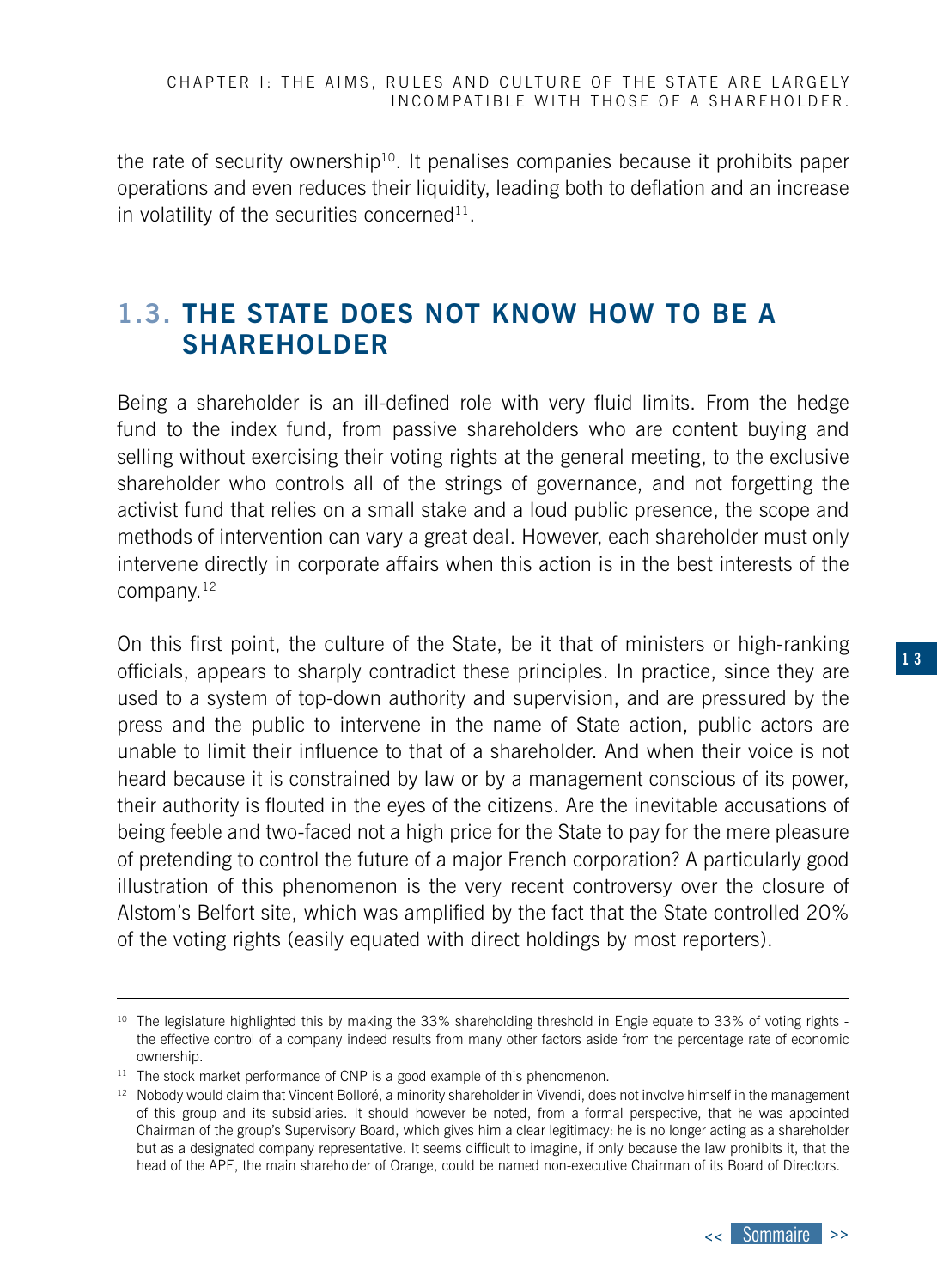<span id="page-12-0"></span>the rate of security ownership<sup>10</sup>. It penalises companies because it prohibits paper operations and even reduces their liquidity, leading both to deflation and an increase in volatility of the securities concerned<sup>11</sup>.

## **1.3. THE STATE DOES NOT KNOW HOW TO BE A SHAREHOLDER**

Being a shareholder is an ill-defined role with very fluid limits. From the hedge fund to the index fund, from passive shareholders who are content buying and selling without exercising their voting rights at the general meeting, to the exclusive shareholder who controls all of the strings of governance, and not forgetting the activist fund that relies on a small stake and a loud public presence, the scope and methods of intervention can vary a great deal. However, each shareholder must only intervene directly in corporate affairs when this action is in the best interests of the company.12

On this first point, the culture of the State, be it that of ministers or high-ranking officials, appears to sharply contradict these principles. In practice, since they are used to a system of top-down authority and supervision, and are pressured by the press and the public to intervene in the name of State action, public actors are unable to limit their influence to that of a shareholder. And when their voice is not heard because it is constrained by law or by a management conscious of its power, their authority is flouted in the eyes of the citizens. Are the inevitable accusations of being feeble and two-faced not a high price for the State to pay for the mere pleasure of pretending to control the future of a major French corporation? A particularly good illustration of this phenomenon is the very recent controversy over the closure of Alstom's Belfort site, which was amplified by the fact that the State controlled 20% of the voting rights (easily equated with direct holdings by most reporters).

<sup>&</sup>lt;sup>10</sup> The legislature highlighted this by making the 33% shareholding threshold in Engie equate to 33% of voting rights the effective control of a company indeed results from many other factors aside from the percentage rate of economic ownership.

 $11$  The stock market performance of CNP is a good example of this phenomenon.

<sup>&</sup>lt;sup>12</sup> Nobody would claim that Vincent Bolloré, a minority shareholder in Vivendi, does not involve himself in the management of this group and its subsidiaries. It should however be noted, from a formal perspective, that he was appointed Chairman of the group's Supervisory Board, which gives him a clear legitimacy: he is no longer acting as a shareholder but as a designated company representative. It seems difficult to imagine, if only because the law prohibits it, that the head of the APE, the main shareholder of Orange, could be named non-executive Chairman of its Board of Directors.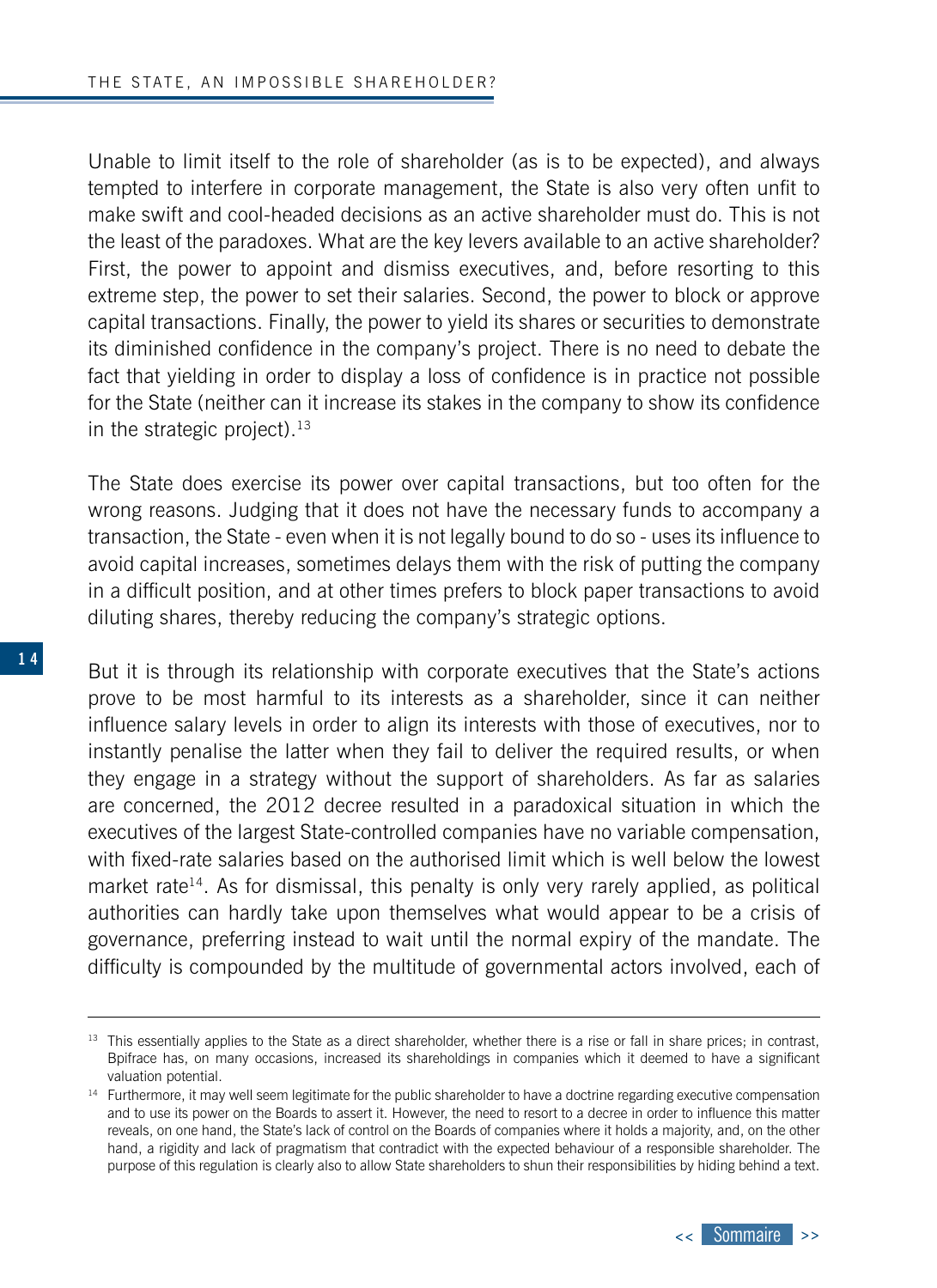Unable to limit itself to the role of shareholder (as is to be expected), and always tempted to interfere in corporate management, the State is also very often unfit to make swift and cool-headed decisions as an active shareholder must do. This is not the least of the paradoxes. What are the key levers available to an active shareholder? First, the power to appoint and dismiss executives, and, before resorting to this extreme step, the power to set their salaries. Second, the power to block or approve capital transactions. Finally, the power to yield its shares or securities to demonstrate its diminished confidence in the company's project. There is no need to debate the fact that yielding in order to display a loss of confidence is in practice not possible for the State (neither can it increase its stakes in the company to show its confidence in the strategic project). $13$ 

The State does exercise its power over capital transactions, but too often for the wrong reasons. Judging that it does not have the necessary funds to accompany a transaction, the State - even when it is not legally bound to do so - uses its influence to avoid capital increases, sometimes delays them with the risk of putting the company in a difficult position, and at other times prefers to block paper transactions to avoid diluting shares, thereby reducing the company's strategic options.

But it is through its relationship with corporate executives that the State's actions prove to be most harmful to its interests as a shareholder, since it can neither influence salary levels in order to align its interests with those of executives, nor to instantly penalise the latter when they fail to deliver the required results, or when they engage in a strategy without the support of shareholders. As far as salaries are concerned, the 2012 decree resulted in a paradoxical situation in which the executives of the largest State-controlled companies have no variable compensation, with fixed-rate salaries based on the authorised limit which is well below the lowest market rate $14$ . As for dismissal, this penalty is only very rarely applied, as political authorities can hardly take upon themselves what would appear to be a crisis of governance, preferring instead to wait until the normal expiry of the mandate. The difficulty is compounded by the multitude of governmental actors involved, each of

<sup>&</sup>lt;sup>13</sup> This essentially applies to the State as a direct shareholder, whether there is a rise or fall in share prices; in contrast, Bpifrace has, on many occasions, increased its shareholdings in companies which it deemed to have a significant valuation potential.

<sup>&</sup>lt;sup>14</sup> Furthermore, it may well seem legitimate for the public shareholder to have a doctrine regarding executive compensation and to use its power on the Boards to assert it. However, the need to resort to a decree in order to influence this matter reveals, on one hand, the State's lack of control on the Boards of companies where it holds a majority, and, on the other hand, a rigidity and lack of pragmatism that contradict with the expected behaviour of a responsible shareholder. The purpose of this regulation is clearly also to allow State shareholders to shun their responsibilities by hiding behind a text.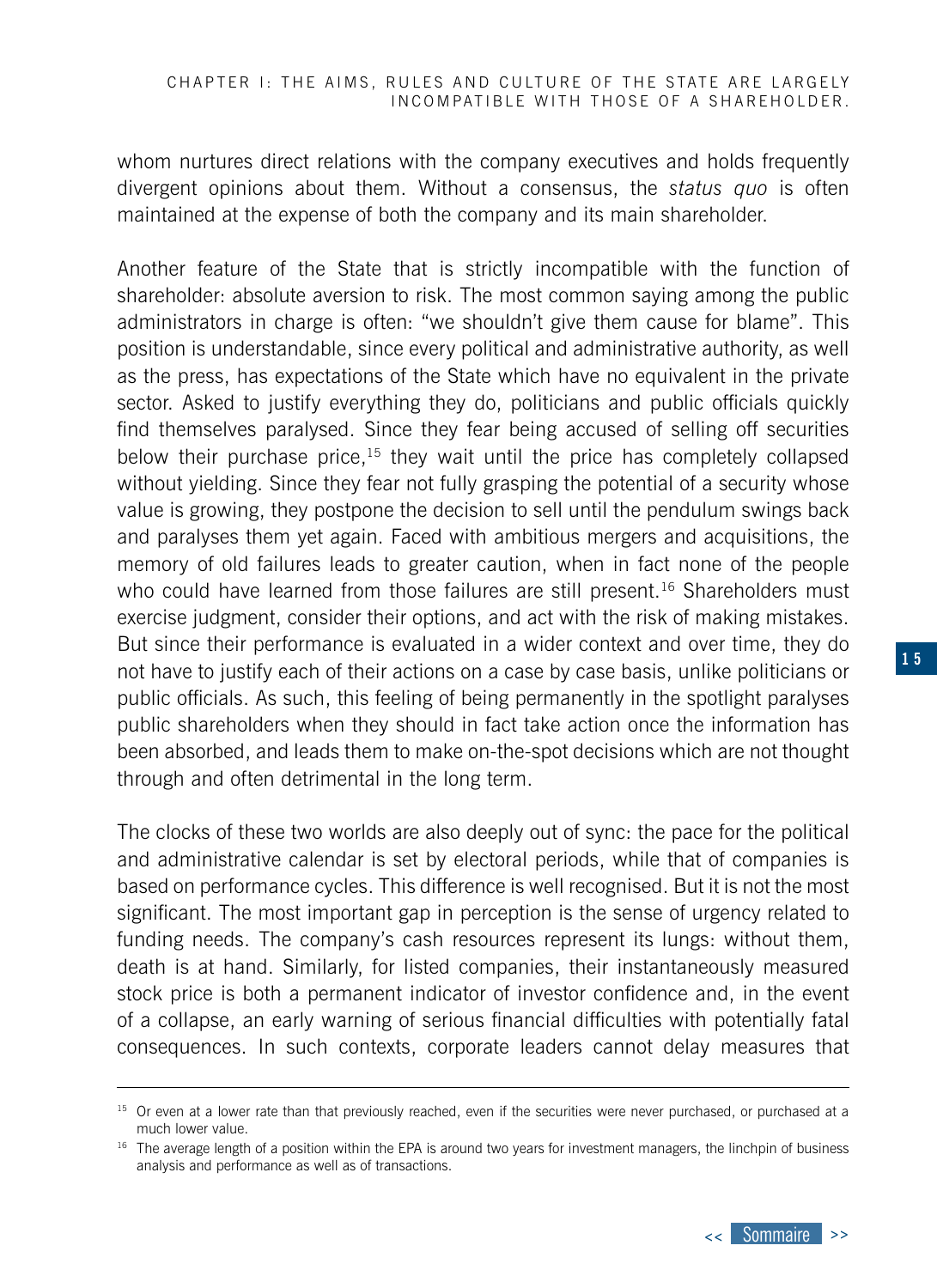whom nurtures direct relations with the company executives and holds frequently divergent opinions about them. Without a consensus, the *status quo* is often maintained at the expense of both the company and its main shareholder.

Another feature of the State that is strictly incompatible with the function of shareholder: absolute aversion to risk. The most common saying among the public administrators in charge is often: "we shouldn't give them cause for blame". This position is understandable, since every political and administrative authority, as well as the press, has expectations of the State which have no equivalent in the private sector. Asked to justify everything they do, politicians and public officials quickly find themselves paralysed. Since they fear being accused of selling off securities below their purchase price,<sup>15</sup> they wait until the price has completely collapsed without yielding. Since they fear not fully grasping the potential of a security whose value is growing, they postpone the decision to sell until the pendulum swings back and paralyses them yet again. Faced with ambitious mergers and acquisitions, the memory of old failures leads to greater caution, when in fact none of the people who could have learned from those failures are still present.<sup>16</sup> Shareholders must exercise judgment, consider their options, and act with the risk of making mistakes. But since their performance is evaluated in a wider context and over time, they do not have to justify each of their actions on a case by case basis, unlike politicians or public officials. As such, this feeling of being permanently in the spotlight paralyses public shareholders when they should in fact take action once the information has been absorbed, and leads them to make on-the-spot decisions which are not thought through and often detrimental in the long term.

The clocks of these two worlds are also deeply out of sync: the pace for the political and administrative calendar is set by electoral periods, while that of companies is based on performance cycles. This difference is well recognised. But it is not the most significant. The most important gap in perception is the sense of urgency related to funding needs. The company's cash resources represent its lungs: without them, death is at hand. Similarly, for listed companies, their instantaneously measured stock price is both a permanent indicator of investor confidence and, in the event of a collapse, an early warning of serious financial difficulties with potentially fatal consequences. In such contexts, corporate leaders cannot delay measures that

<sup>&</sup>lt;sup>15</sup> Or even at a lower rate than that previously reached, even if the securities were never purchased, or purchased at a much lower value.

<sup>&</sup>lt;sup>16</sup> The average length of a position within the EPA is around two years for investment managers, the linchpin of business analysis and performance as well as of transactions.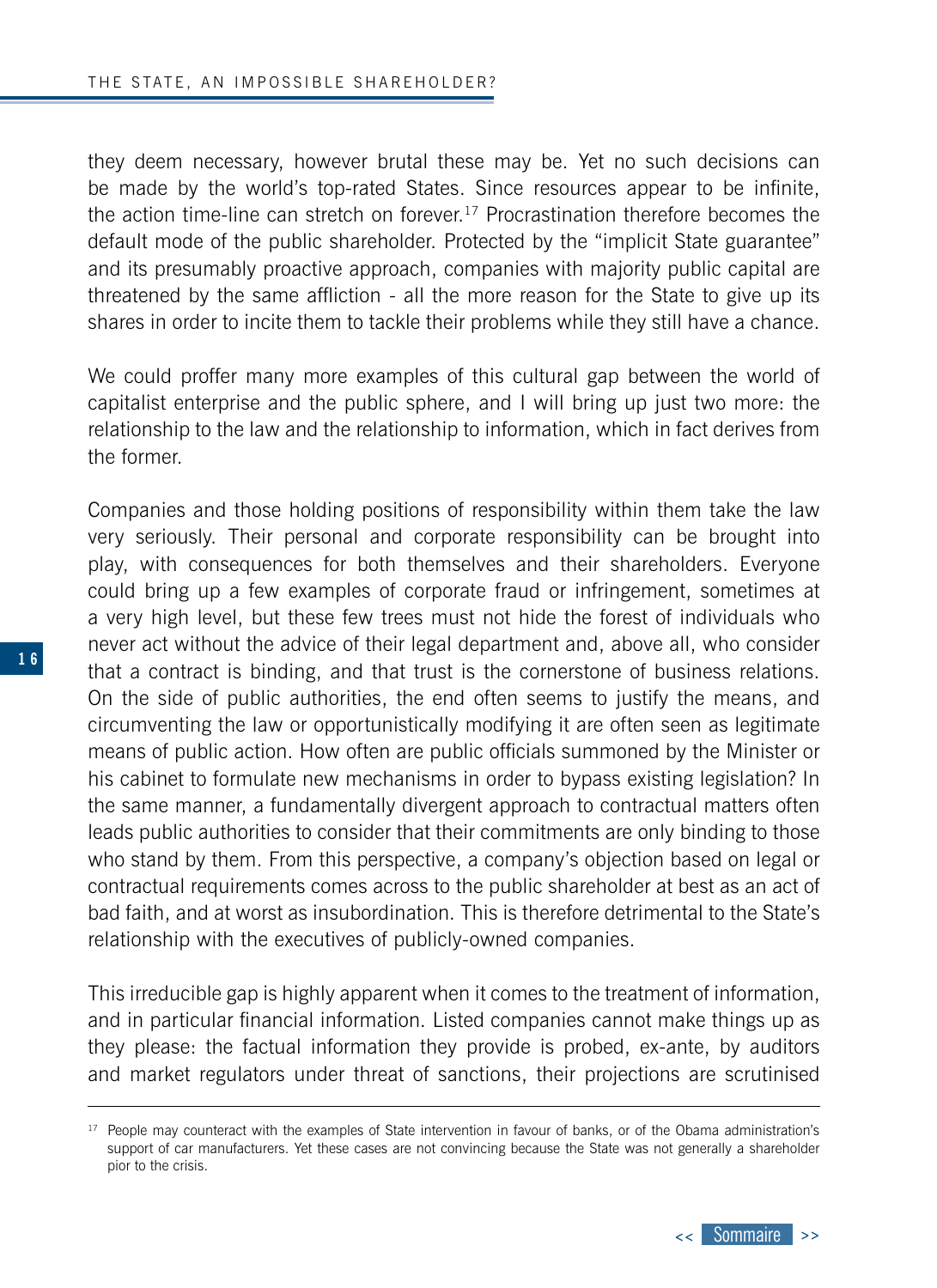they deem necessary, however brutal these may be. Yet no such decisions can be made by the world's top-rated States. Since resources appear to be infinite, the action time-line can stretch on forever.17 Procrastination therefore becomes the default mode of the public shareholder. Protected by the "implicit State guarantee" and its presumably proactive approach, companies with majority public capital are threatened by the same affliction - all the more reason for the State to give up its shares in order to incite them to tackle their problems while they still have a chance.

We could proffer many more examples of this cultural gap between the world of capitalist enterprise and the public sphere, and I will bring up just two more: the relationship to the law and the relationship to information, which in fact derives from the former.

Companies and those holding positions of responsibility within them take the law very seriously. Their personal and corporate responsibility can be brought into play, with consequences for both themselves and their shareholders. Everyone could bring up a few examples of corporate fraud or infringement, sometimes at a very high level, but these few trees must not hide the forest of individuals who never act without the advice of their legal department and, above all, who consider that a contract is binding, and that trust is the cornerstone of business relations. On the side of public authorities, the end often seems to justify the means, and circumventing the law or opportunistically modifying it are often seen as legitimate means of public action. How often are public officials summoned by the Minister or his cabinet to formulate new mechanisms in order to bypass existing legislation? In the same manner, a fundamentally divergent approach to contractual matters often leads public authorities to consider that their commitments are only binding to those who stand by them. From this perspective, a company's objection based on legal or contractual requirements comes across to the public shareholder at best as an act of bad faith, and at worst as insubordination. This is therefore detrimental to the State's relationship with the executives of publicly-owned companies.

This irreducible gap is highly apparent when it comes to the treatment of information, and in particular financial information. Listed companies cannot make things up as they please: the factual information they provide is probed, ex-ante, by auditors and market regulators under threat of sanctions, their projections are scrutinised



<sup>&</sup>lt;sup>17</sup> People may counteract with the examples of State intervention in favour of banks, or of the Obama administration's support of car manufacturers. Yet these cases are not convincing because the State was not generally a shareholder pior to the crisis.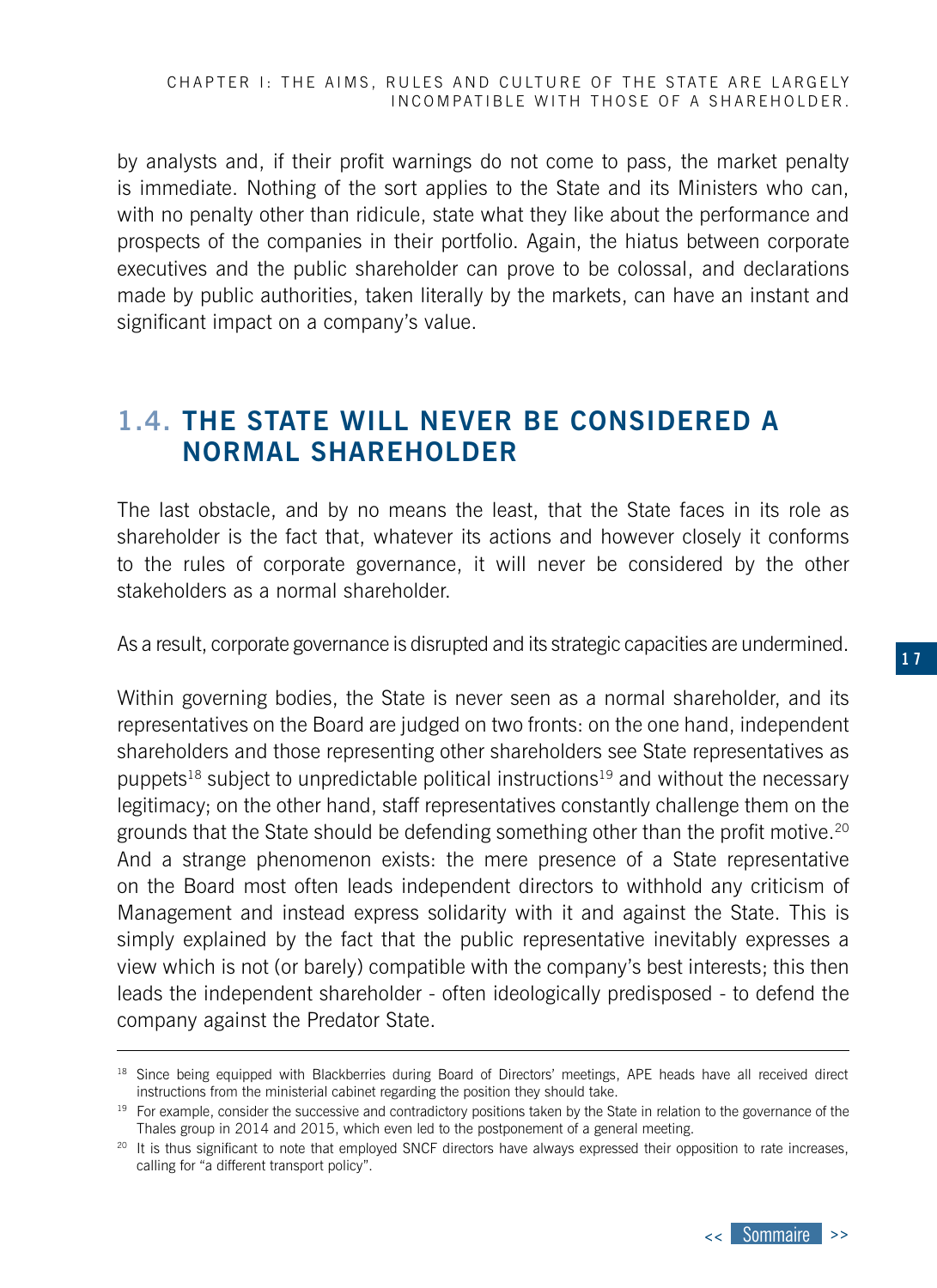<span id="page-16-0"></span>by analysts and, if their profit warnings do not come to pass, the market penalty is immediate. Nothing of the sort applies to the State and its Ministers who can, with no penalty other than ridicule, state what they like about the performance and prospects of the companies in their portfolio. Again, the hiatus between corporate executives and the public shareholder can prove to be colossal, and declarations made by public authorities, taken literally by the markets, can have an instant and significant impact on a company's value.

## **1.4. THE STATE WILL NEVER BE CONSIDERED A NORMAL SHAREHOLDER**

The last obstacle, and by no means the least, that the State faces in its role as shareholder is the fact that, whatever its actions and however closely it conforms to the rules of corporate governance, it will never be considered by the other stakeholders as a normal shareholder.

As a result, corporate governance is disrupted and its strategic capacities are undermined.

Within governing bodies, the State is never seen as a normal shareholder, and its representatives on the Board are judged on two fronts: on the one hand, independent shareholders and those representing other shareholders see State representatives as puppets<sup>18</sup> subject to unpredictable political instructions<sup>19</sup> and without the necessary legitimacy; on the other hand, staff representatives constantly challenge them on the grounds that the State should be defending something other than the profit motive.<sup>20</sup> And a strange phenomenon exists: the mere presence of a State representative on the Board most often leads independent directors to withhold any criticism of Management and instead express solidarity with it and against the State. This is simply explained by the fact that the public representative inevitably expresses a view which is not (or barely) compatible with the company's best interests; this then leads the independent shareholder - often ideologically predisposed - to defend the company against the Predator State.

<sup>&</sup>lt;sup>18</sup> Since being equipped with Blackberries during Board of Directors' meetings, APE heads have all received direct instructions from the ministerial cabinet regarding the position they should take.

<sup>&</sup>lt;sup>19</sup> For example, consider the successive and contradictory positions taken by the State in relation to the governance of the Thales group in 2014 and 2015, which even led to the postponement of a general meeting.

<sup>&</sup>lt;sup>20</sup> It is thus significant to note that employed SNCF directors have always expressed their opposition to rate increases, calling for "a different transport policy".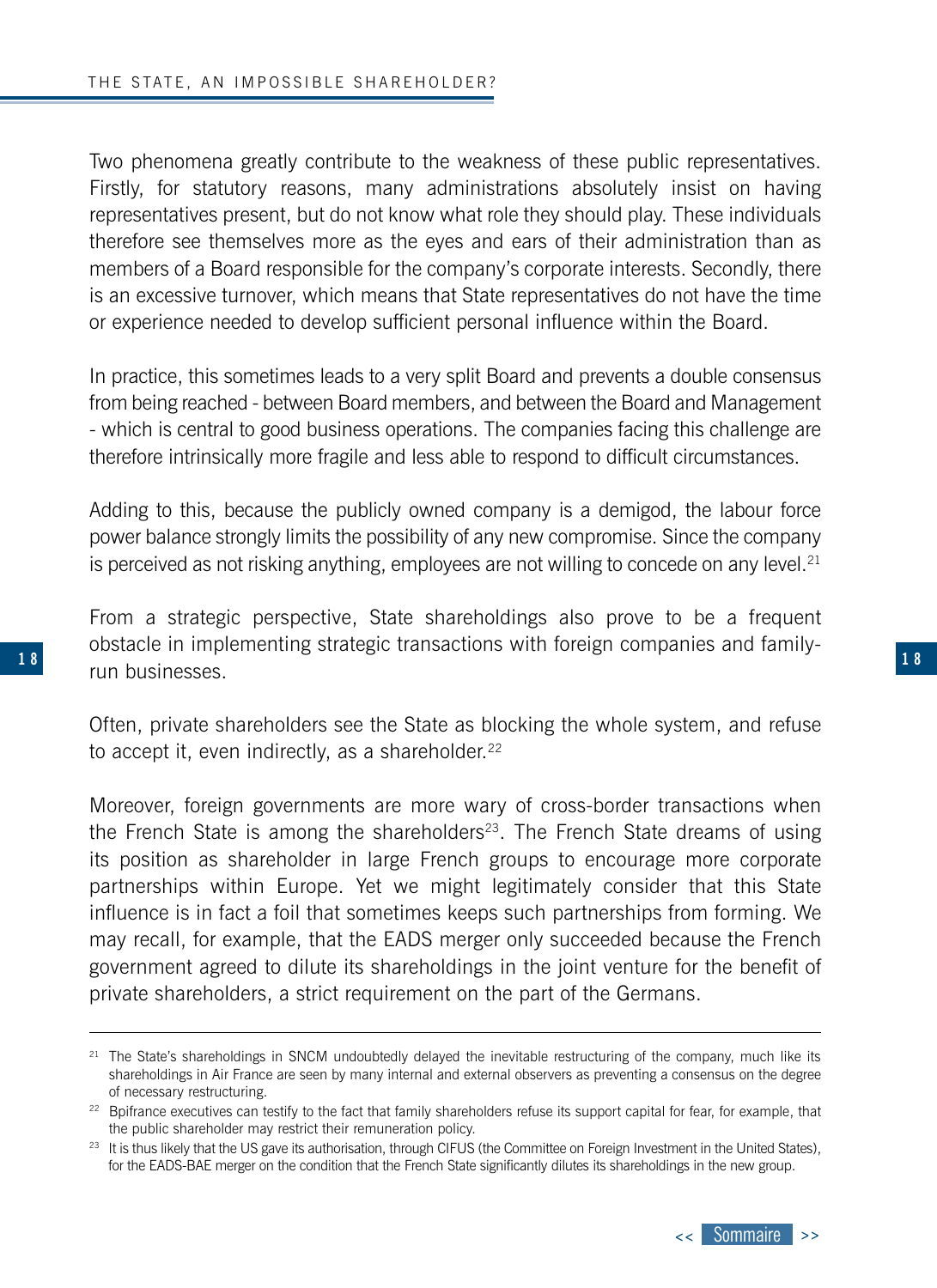**1 8**

Two phenomena greatly contribute to the weakness of these public representatives. Firstly, for statutory reasons, many administrations absolutely insist on having representatives present, but do not know what role they should play. These individuals therefore see themselves more as the eyes and ears of their administration than as members of a Board responsible for the company's corporate interests. Secondly, there is an excessive turnover, which means that State representatives do not have the time or experience needed to develop sufficient personal influence within the Board.

In practice, this sometimes leads to a very split Board and prevents a double consensus from being reached - between Board members, and between the Board and Management - which is central to good business operations. The companies facing this challenge are therefore intrinsically more fragile and less able to respond to difficult circumstances.

Adding to this, because the publicly owned company is a demigod, the labour force power balance strongly limits the possibility of any new compromise. Since the company is perceived as not risking anything, employees are not willing to concede on any level. $21$ 

From a strategic perspective, State shareholdings also prove to be a frequent obstacle in implementing strategic transactions with foreign companies and familyrun businesses.

Often, private shareholders see the State as blocking the whole system, and refuse to accept it, even indirectly, as a shareholder. $22$ 

Moreover, foreign governments are more wary of cross-border transactions when the French State is among the shareholders<sup>23</sup>. The French State dreams of using its position as shareholder in large French groups to encourage more corporate partnerships within Europe. Yet we might legitimately consider that this State influence is in fact a foil that sometimes keeps such partnerships from forming. We may recall, for example, that the EADS merger only succeeded because the French government agreed to dilute its shareholdings in the joint venture for the benefit of private shareholders, a strict requirement on the part of the Germans.

<sup>&</sup>lt;sup>21</sup> The State's shareholdings in SNCM undoubtedly delayed the inevitable restructuring of the company, much like its shareholdings in Air France are seen by many internal and external observers as preventing a consensus on the degree of necessary restructuring.

<sup>&</sup>lt;sup>22</sup> Bpifrance executives can testify to the fact that family shareholders refuse its support capital for fear, for example, that the public shareholder may restrict their remuneration policy.

<sup>&</sup>lt;sup>23</sup> It is thus likely that the US gave its authorisation, through CIFUS (the Committee on Foreign Investment in the United States), for the EADS-BAE merger on the condition that the French State significantly dilutes its shareholdings in the new group.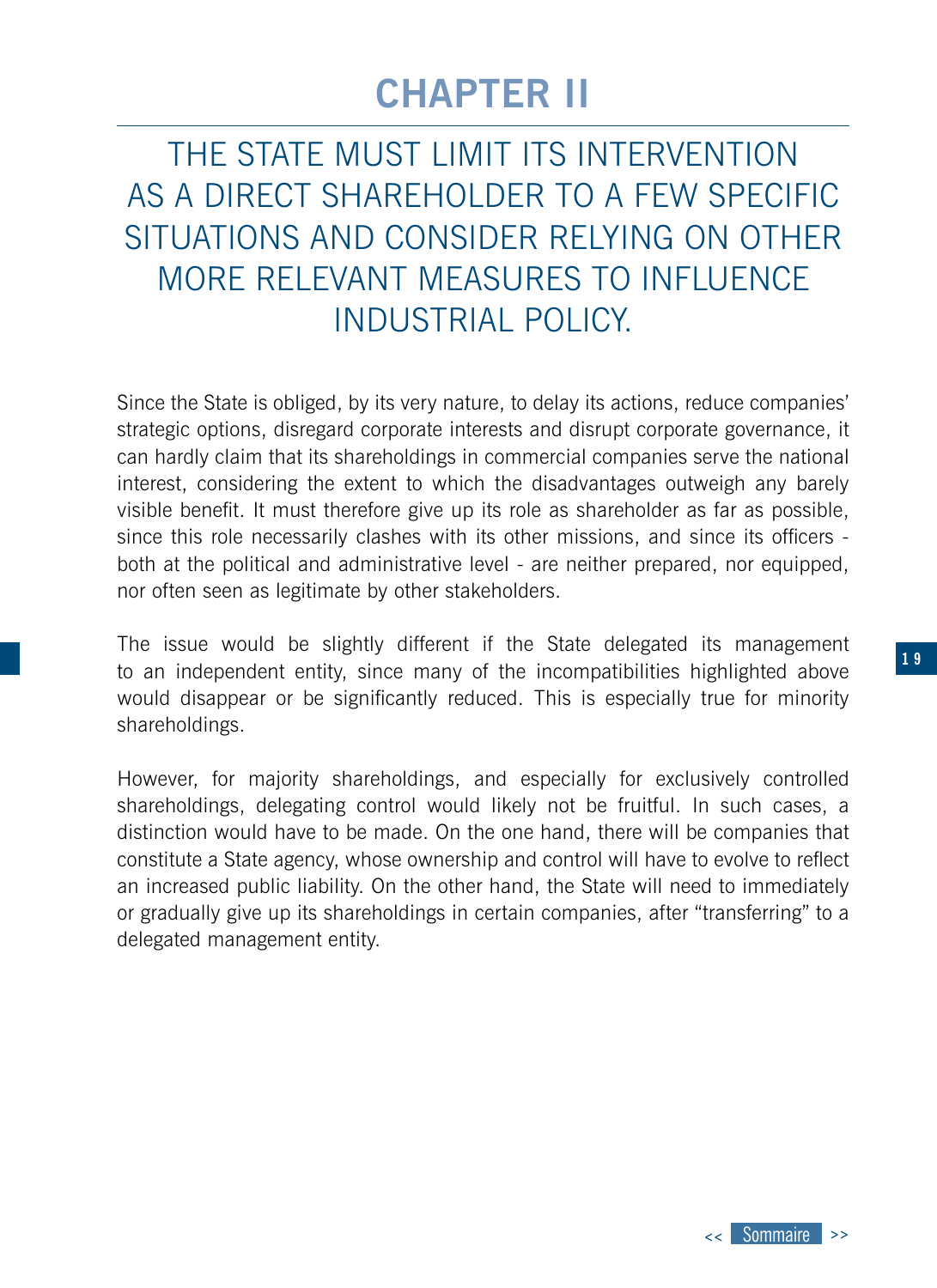## **CHAPTER II**

<span id="page-18-0"></span>THE STATE MUST LIMIT ITS INTERVENTION AS A DIRECT SHAREHOLDER TO A FEW SPECIFIC SITUATIONS AND CONSIDER RELYING ON OTHER MORE RELEVANT MEASURES TO INFLUENCE INDUSTRIAL POLICY.

Since the State is obliged, by its very nature, to delay its actions, reduce companies' strategic options, disregard corporate interests and disrupt corporate governance, it can hardly claim that its shareholdings in commercial companies serve the national interest, considering the extent to which the disadvantages outweigh any barely visible benefit. It must therefore give up its role as shareholder as far as possible, since this role necessarily clashes with its other missions, and since its officers both at the political and administrative level - are neither prepared, nor equipped, nor often seen as legitimate by other stakeholders.

**1 8 1 9** to an independent entity, since many of the incompatibilities highlighted above The issue would be slightly different if the State delegated its management would disappear or be significantly reduced. This is especially true for minority shareholdings.

> However, for majority shareholdings, and especially for exclusively controlled shareholdings, delegating control would likely not be fruitful. In such cases, a distinction would have to be made. On the one hand, there will be companies that constitute a State agency, whose ownership and control will have to evolve to reflect an increased public liability. On the other hand, the State will need to immediately or gradually give up its shareholdings in certain companies, after "transferring" to a delegated management entity.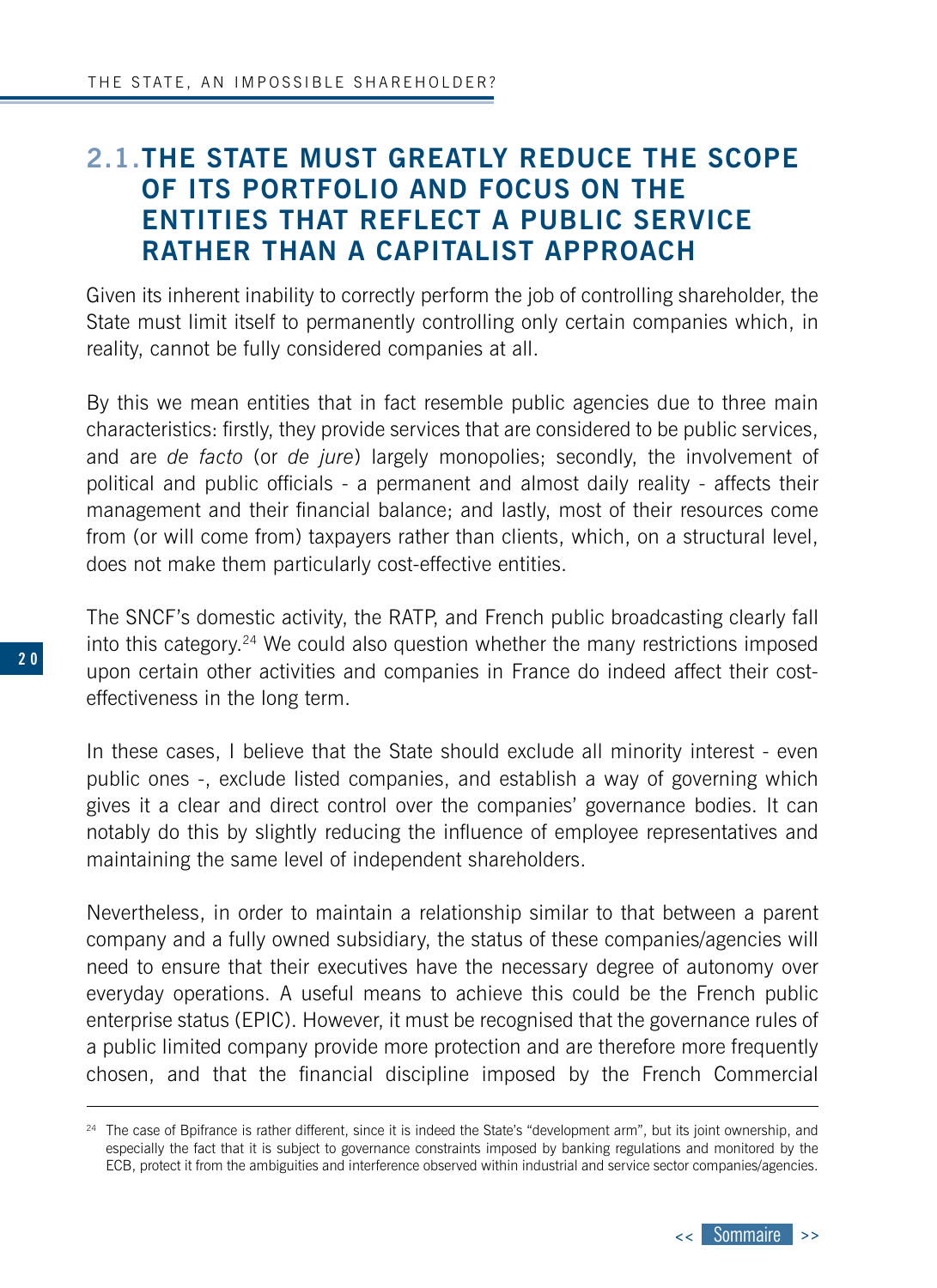## <span id="page-19-0"></span>**2.1.THE STATE MUST GREATLY REDUCE THE SCOPE OF ITS PORTFOLIO AND FOCUS ON THE ENTITIES THAT REFLECT A PUBLIC SERVICE RATHER THAN A CAPITALIST APPROACH**

Given its inherent inability to correctly perform the job of controlling shareholder, the State must limit itself to permanently controlling only certain companies which, in reality, cannot be fully considered companies at all.

By this we mean entities that in fact resemble public agencies due to three main characteristics: firstly, they provide services that are considered to be public services, and are *de facto* (or *de jure*) largely monopolies; secondly, the involvement of political and public officials - a permanent and almost daily reality - affects their management and their financial balance; and lastly, most of their resources come from (or will come from) taxpayers rather than clients, which, on a structural level, does not make them particularly cost-effective entities.

The SNCF's domestic activity, the RATP, and French public broadcasting clearly fall into this category.24 We could also question whether the many restrictions imposed upon certain other activities and companies in France do indeed affect their costeffectiveness in the long term.

In these cases, I believe that the State should exclude all minority interest - even public ones -, exclude listed companies, and establish a way of governing which gives it a clear and direct control over the companies' governance bodies. It can notably do this by slightly reducing the influence of employee representatives and maintaining the same level of independent shareholders.

Nevertheless, in order to maintain a relationship similar to that between a parent company and a fully owned subsidiary, the status of these companies/agencies will need to ensure that their executives have the necessary degree of autonomy over everyday operations. A useful means to achieve this could be the French public enterprise status (EPIC). However, it must be recognised that the governance rules of a public limited company provide more protection and are therefore more frequently chosen, and that the financial discipline imposed by the French Commercial



<sup>&</sup>lt;sup>24</sup> The case of Bpifrance is rather different, since it is indeed the State's "development arm", but its joint ownership, and especially the fact that it is subject to governance constraints imposed by banking regulations and monitored by the ECB, protect it from the ambiguities and interference observed within industrial and service sector companies/agencies.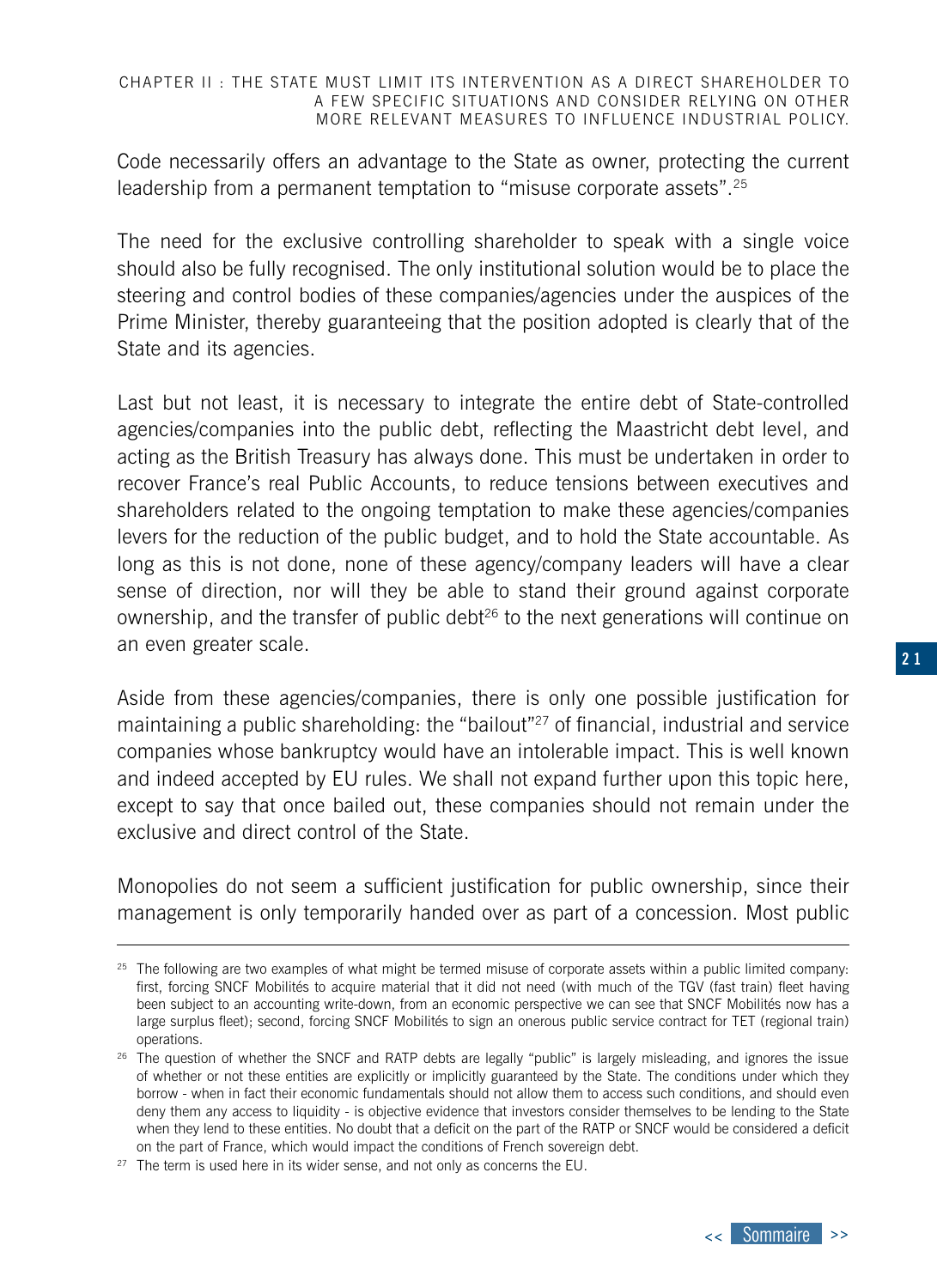#### CHAPTER II : THE STATE MUST LIMIT ITS INTERVENTION AS A DIRECT SHAREHOLDER TO A FEW SPECIFIC SITUATIONS AND CONSIDER RELYING ON OTHER MORE RELEVANT MEASURES TO INFLUENCE INDUSTRIAL POLICY.

Code necessarily offers an advantage to the State as owner, protecting the current leadership from a permanent temptation to "misuse corporate assets".<sup>25</sup>

The need for the exclusive controlling shareholder to speak with a single voice should also be fully recognised. The only institutional solution would be to place the steering and control bodies of these companies/agencies under the auspices of the Prime Minister, thereby guaranteeing that the position adopted is clearly that of the State and its agencies.

Last but not least, it is necessary to integrate the entire debt of State-controlled agencies/companies into the public debt, reflecting the Maastricht debt level, and acting as the British Treasury has always done. This must be undertaken in order to recover France's real Public Accounts, to reduce tensions between executives and shareholders related to the ongoing temptation to make these agencies/companies levers for the reduction of the public budget, and to hold the State accountable. As long as this is not done, none of these agency/company leaders will have a clear sense of direction, nor will they be able to stand their ground against corporate ownership, and the transfer of public debt $26$  to the next generations will continue on an even greater scale.

Aside from these agencies/companies, there is only one possible justification for maintaining a public shareholding: the "bailout"27 of financial, industrial and service companies whose bankruptcy would have an intolerable impact. This is well known and indeed accepted by EU rules. We shall not expand further upon this topic here, except to say that once bailed out, these companies should not remain under the exclusive and direct control of the State.

Monopolies do not seem a sufficient justification for public ownership, since their management is only temporarily handed over as part of a concession. Most public

 $25$  The following are two examples of what might be termed misuse of corporate assets within a public limited company: first, forcing SNCF Mobilités to acquire material that it did not need (with much of the TGV (fast train) fleet having been subject to an accounting write-down, from an economic perspective we can see that SNCF Mobilités now has a large surplus fleet); second, forcing SNCF Mobilités to sign an onerous public service contract for TET (regional train) operations.

<sup>&</sup>lt;sup>26</sup> The question of whether the SNCF and RATP debts are legally "public" is largely misleading, and ignores the issue of whether or not these entities are explicitly or implicitly guaranteed by the State. The conditions under which they borrow - when in fact their economic fundamentals should not allow them to access such conditions, and should even deny them any access to liquidity - is objective evidence that investors consider themselves to be lending to the State when they lend to these entities. No doubt that a deficit on the part of the RATP or SNCF would be considered a deficit on the part of France, which would impact the conditions of French sovereign debt.

 $27$  The term is used here in its wider sense, and not only as concerns the EU.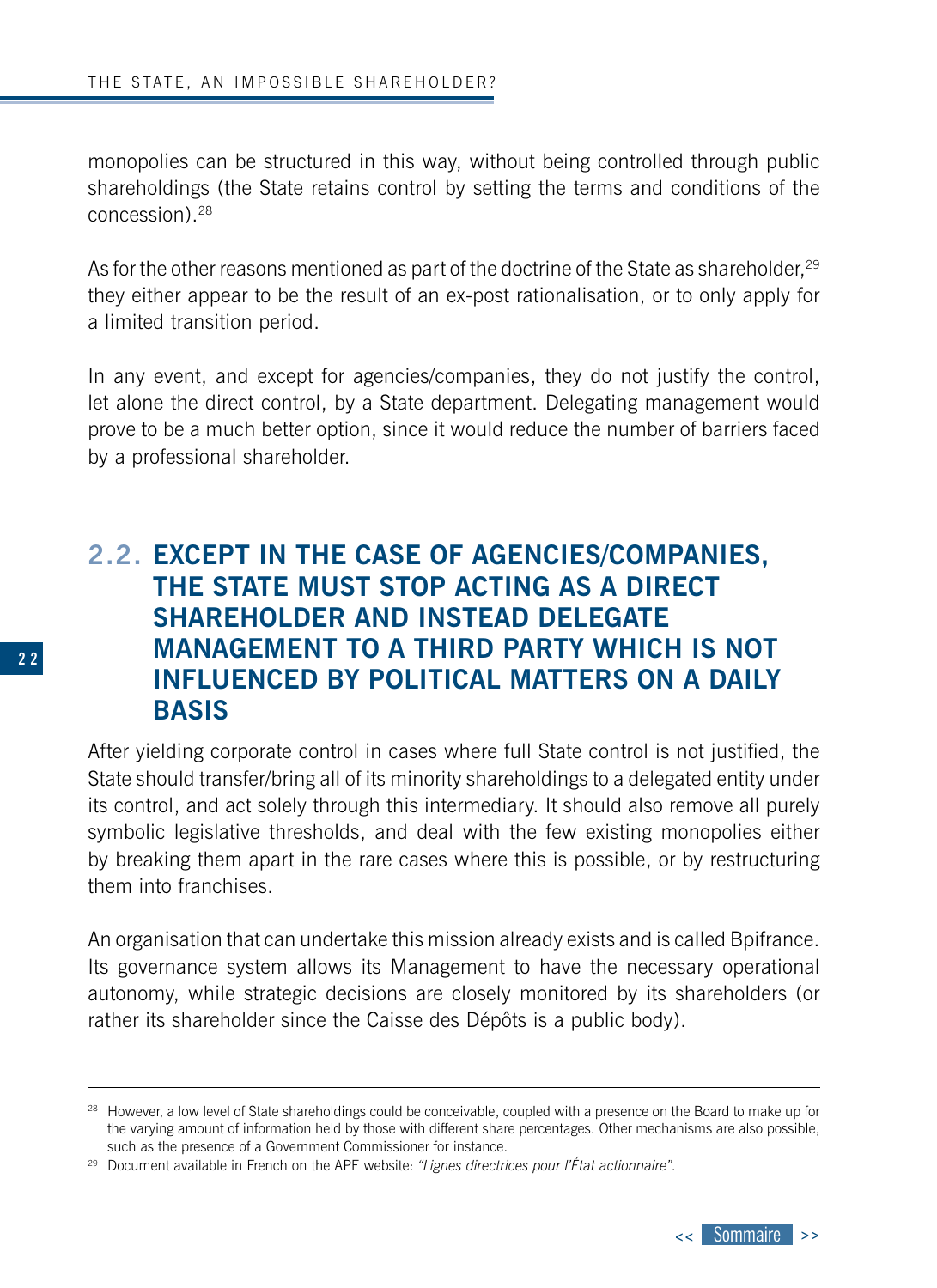<span id="page-21-0"></span>monopolies can be structured in this way, without being controlled through public shareholdings (the State retains control by setting the terms and conditions of the concession).28

As for the other reasons mentioned as part of the doctrine of the State as shareholder.<sup>29</sup> they either appear to be the result of an ex-post rationalisation, or to only apply for a limited transition period.

In any event, and except for agencies/companies, they do not justify the control, let alone the direct control, by a State department. Delegating management would prove to be a much better option, since it would reduce the number of barriers faced by a professional shareholder.

### **2.2. EXCEPT IN THE CASE OF AGENCIES/COMPANIES, THE STATE MUST STOP ACTING AS A DIRECT SHAREHOLDER AND INSTEAD DELEGATE MANAGEMENT TO A THIRD PARTY WHICH IS NOT INFLUENCED BY POLITICAL MATTERS ON A DAILY BASIS**

After yielding corporate control in cases where full State control is not justified, the State should transfer/bring all of its minority shareholdings to a delegated entity under its control, and act solely through this intermediary. It should also remove all purely symbolic legislative thresholds, and deal with the few existing monopolies either by breaking them apart in the rare cases where this is possible, or by restructuring them into franchises.

An organisation that can undertake this mission already exists and is called Bpifrance. Its governance system allows its Management to have the necessary operational autonomy, while strategic decisions are closely monitored by its shareholders (or rather its shareholder since the Caisse des Dépôts is a public body).



<sup>&</sup>lt;sup>28</sup> However, a low level of State shareholdings could be conceivable, coupled with a presence on the Board to make up for the varying amount of information held by those with different share percentages. Other mechanisms are also possible, such as the presence of a Government Commissioner for instance.

<sup>29</sup> Document available in French on the APE website: *"Lignes directrices pour l'État actionnaire".*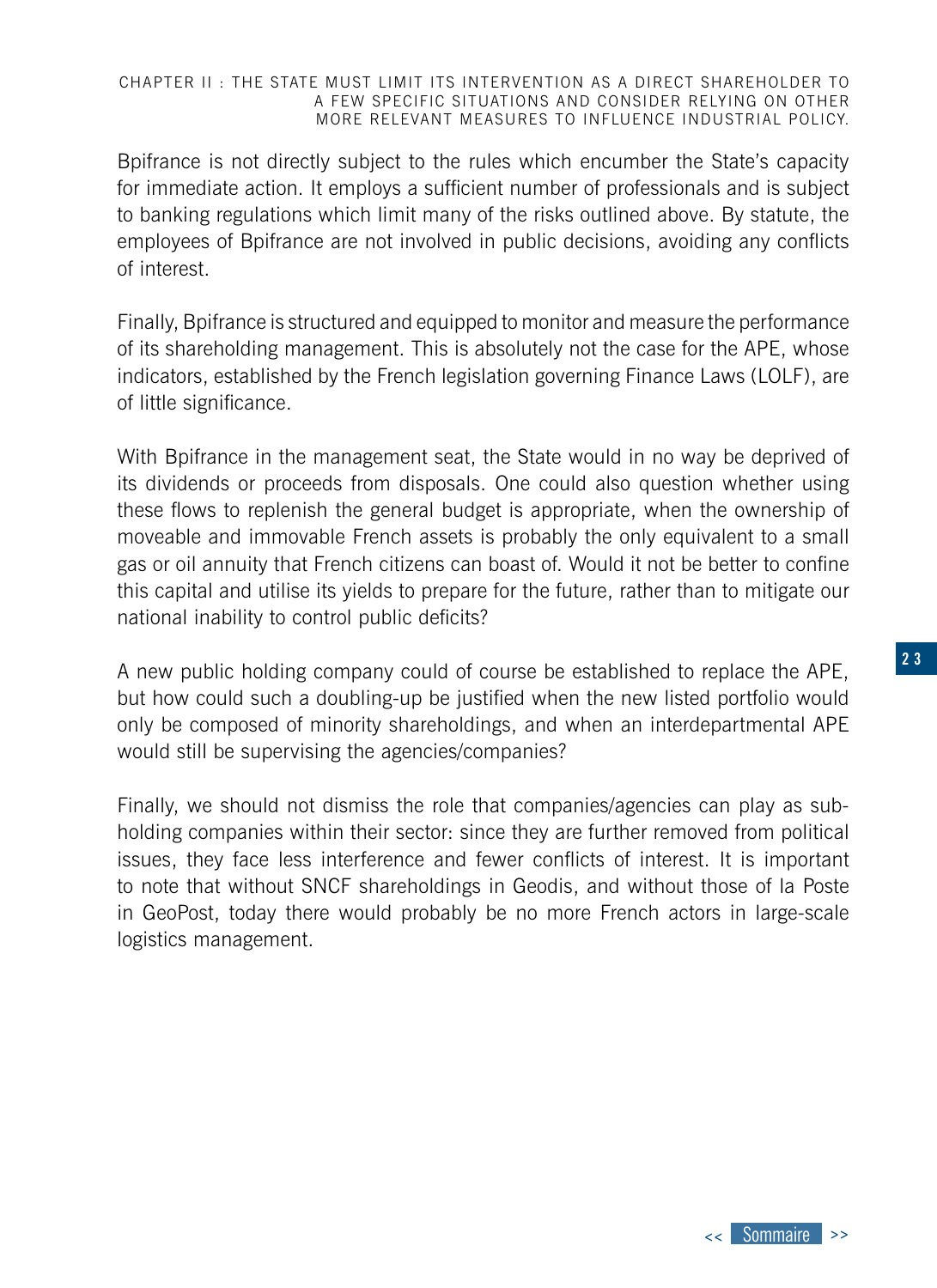#### CHAPTER II : THE STATE MUST LIMIT ITS INTERVENTION AS A DIRECT SHAREHOLDER TO A FEW SPECIFIC SITUATIONS AND CONSIDER RELYING ON OTHER MORE RELEVANT MEASURES TO INFLUENCE INDUSTRIAL POLICY.

Bpifrance is not directly subject to the rules which encumber the State's capacity for immediate action. It employs a sufficient number of professionals and is subject to banking regulations which limit many of the risks outlined above. By statute, the employees of Bpifrance are not involved in public decisions, avoiding any conflicts of interest.

Finally, Bpifrance is structured and equipped to monitor and measure the performance of its shareholding management. This is absolutely not the case for the APE, whose indicators, established by the French legislation governing Finance Laws (LOLF), are of little significance.

With Bpifrance in the management seat, the State would in no way be deprived of its dividends or proceeds from disposals. One could also question whether using these flows to replenish the general budget is appropriate, when the ownership of moveable and immovable French assets is probably the only equivalent to a small gas or oil annuity that French citizens can boast of. Would it not be better to confine this capital and utilise its yields to prepare for the future, rather than to mitigate our national inability to control public deficits?

A new public holding company could of course be established to replace the APE, but how could such a doubling-up be justified when the new listed portfolio would only be composed of minority shareholdings, and when an interdepartmental APE would still be supervising the agencies/companies?

Finally, we should not dismiss the role that companies/agencies can play as subholding companies within their sector: since they are further removed from political issues, they face less interference and fewer conflicts of interest. It is important to note that without SNCF shareholdings in Geodis, and without those of la Poste in GeoPost, today there would probably be no more French actors in large-scale logistics management.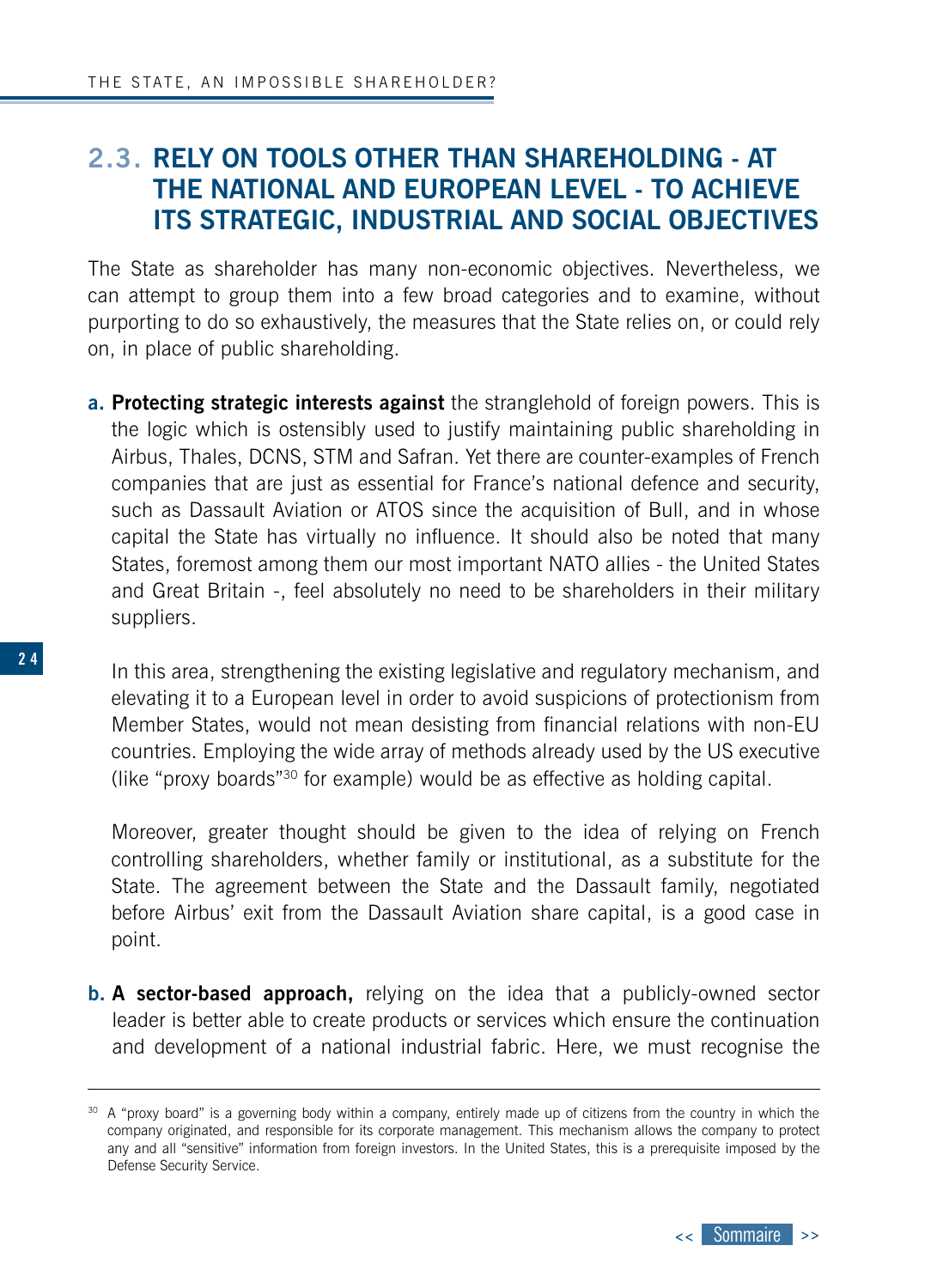### <span id="page-23-0"></span>**2.3. RELY ON TOOLS OTHER THAN SHAREHOLDING - AT THE NATIONAL AND EUROPEAN LEVEL - TO ACHIEVE ITS STRATEGIC, INDUSTRIAL AND SOCIAL OBJECTIVES**

The State as shareholder has many non-economic objectives. Nevertheless, we can attempt to group them into a few broad categories and to examine, without purporting to do so exhaustively, the measures that the State relies on, or could rely on, in place of public shareholding.

**a. Protecting strategic interests against** the stranglehold of foreign powers. This is the logic which is ostensibly used to justify maintaining public shareholding in Airbus, Thales, DCNS, STM and Safran. Yet there are counter-examples of French companies that are just as essential for France's national defence and security, such as Dassault Aviation or ATOS since the acquisition of Bull, and in whose capital the State has virtually no influence. It should also be noted that many States, foremost among them our most important NATO allies - the United States and Great Britain -, feel absolutely no need to be shareholders in their military suppliers.

In this area, strengthening the existing legislative and regulatory mechanism, and elevating it to a European level in order to avoid suspicions of protectionism from Member States, would not mean desisting from financial relations with non-EU countries. Employing the wide array of methods already used by the US executive (like "proxy boards"30 for example) would be as effective as holding capital.

Moreover, greater thought should be given to the idea of relying on French controlling shareholders, whether family or institutional, as a substitute for the State. The agreement between the State and the Dassault family, negotiated before Airbus' exit from the Dassault Aviation share capital, is a good case in point.

**b. A sector-based approach,** relying on the idea that a publicly-owned sector leader is better able to create products or services which ensure the continuation and development of a national industrial fabric. Here, we must recognise the



<sup>&</sup>lt;sup>30</sup> A "proxy board" is a governing body within a company, entirely made up of citizens from the country in which the company originated, and responsible for its corporate management. This mechanism allows the company to protect any and all "sensitive" information from foreign investors. In the United States, this is a prerequisite imposed by the Defense Security Service.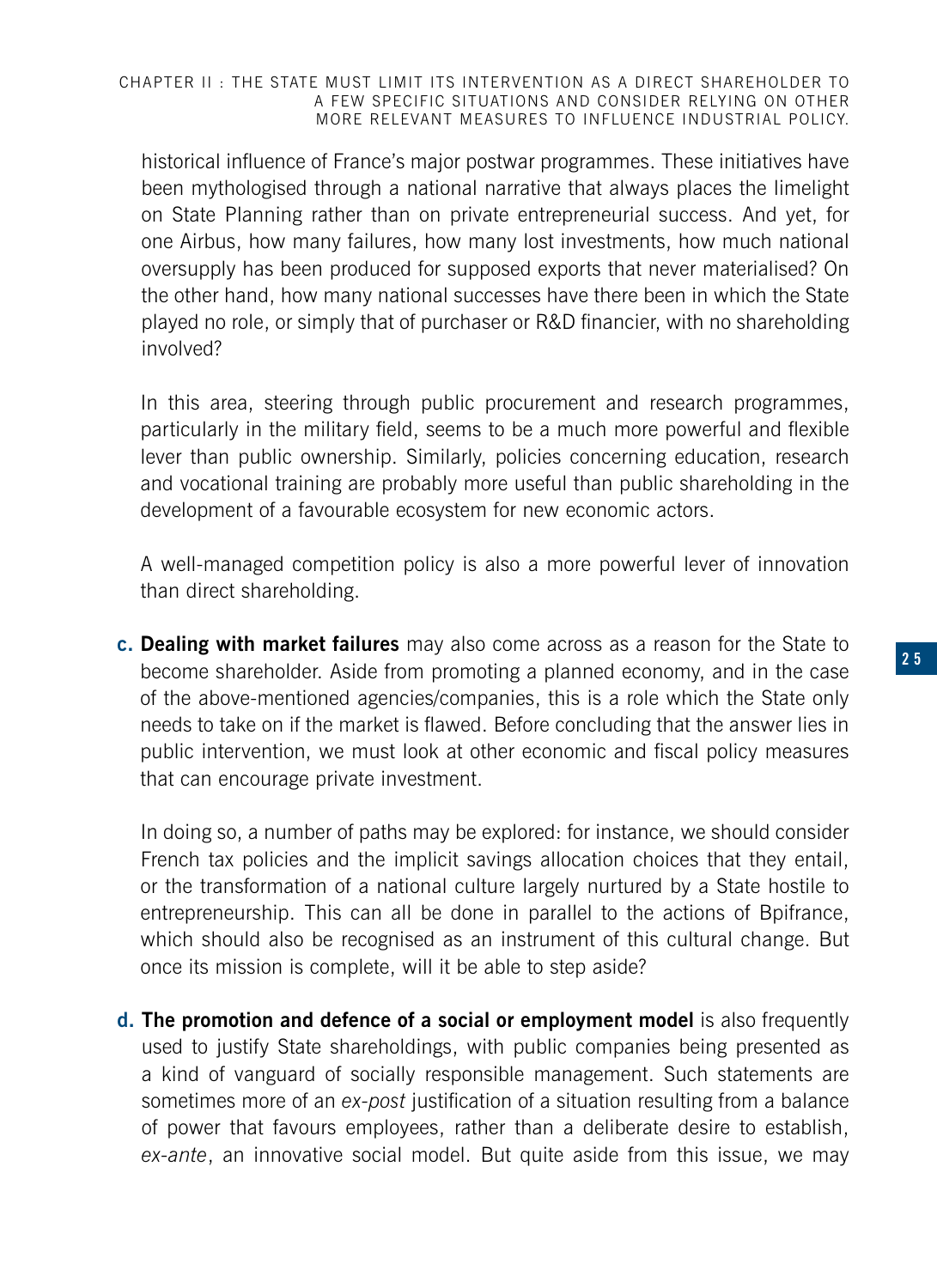#### CHAPTER II : THE STATE MUST LIMIT ITS INTERVENTION AS A DIRECT SHAREHOLDER TO A FEW SPECIFIC SITUATIONS AND CONSIDER RELYING ON OTHER MORE RELEVANT MEASURES TO INFLUENCE INDUSTRIAL POLICY.

historical influence of France's major postwar programmes. These initiatives have been mythologised through a national narrative that always places the limelight on State Planning rather than on private entrepreneurial success. And yet, for one Airbus, how many failures, how many lost investments, how much national oversupply has been produced for supposed exports that never materialised? On the other hand, how many national successes have there been in which the State played no role, or simply that of purchaser or R&D financier, with no shareholding involved?

In this area, steering through public procurement and research programmes, particularly in the military field, seems to be a much more powerful and flexible lever than public ownership. Similarly, policies concerning education, research and vocational training are probably more useful than public shareholding in the development of a favourable ecosystem for new economic actors.

A well-managed competition policy is also a more powerful lever of innovation than direct shareholding.

**c. Dealing with market failures** may also come across as a reason for the State to become shareholder. Aside from promoting a planned economy, and in the case of the above-mentioned agencies/companies, this is a role which the State only needs to take on if the market is flawed. Before concluding that the answer lies in public intervention, we must look at other economic and fiscal policy measures that can encourage private investment.

In doing so, a number of paths may be explored: for instance, we should consider French tax policies and the implicit savings allocation choices that they entail, or the transformation of a national culture largely nurtured by a State hostile to entrepreneurship. This can all be done in parallel to the actions of Bpifrance, which should also be recognised as an instrument of this cultural change. But once its mission is complete, will it be able to step aside?

**d. The promotion and defence of a social or employment model** is also frequently used to justify State shareholdings, with public companies being presented as a kind of vanguard of socially responsible management. Such statements are sometimes more of an *ex-post* justification of a situation resulting from a balance of power that favours employees, rather than a deliberate desire to establish, *ex-ante*, an innovative social model. But quite aside from this issue, we may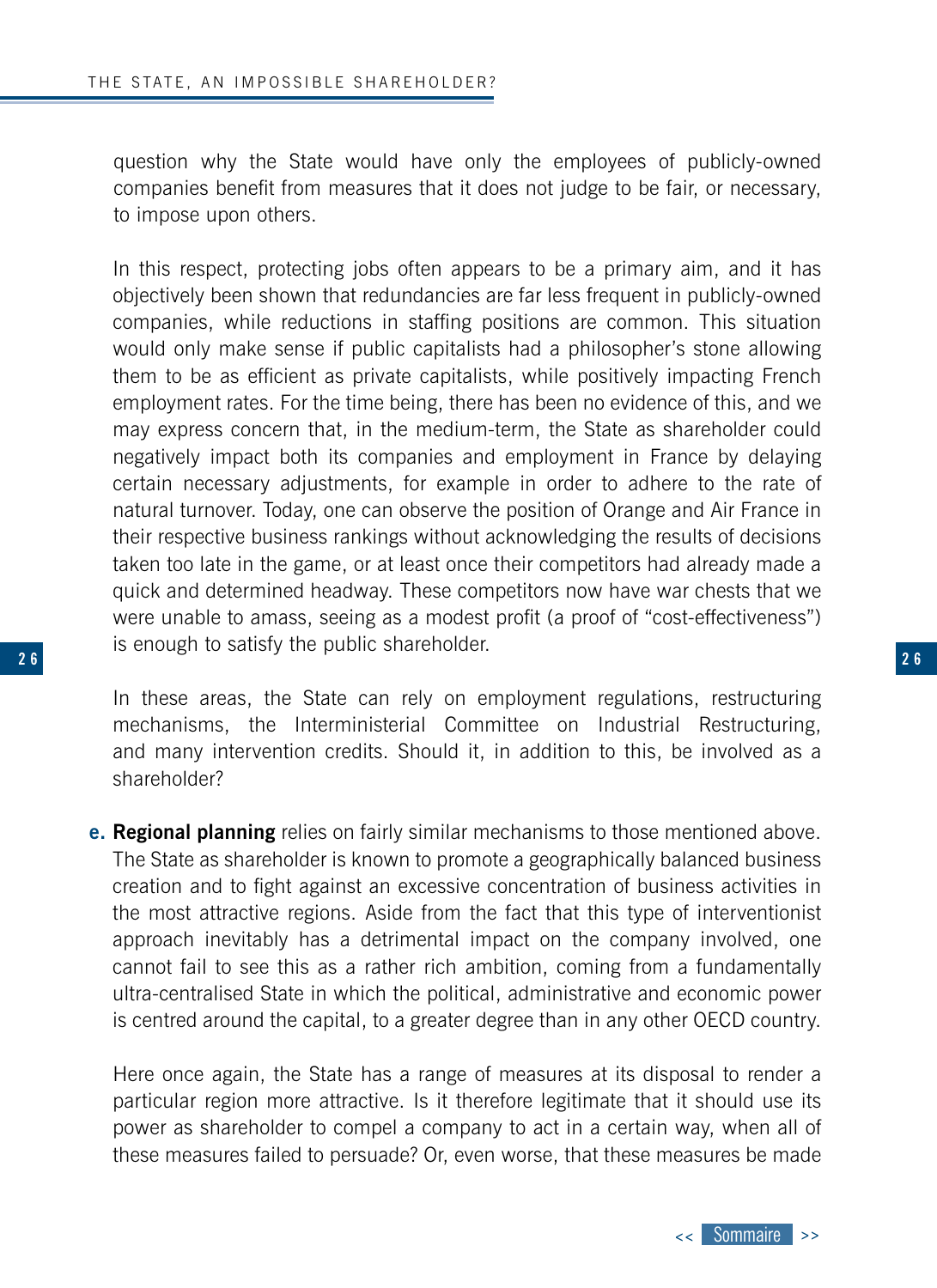**2 6**

question why the State would have only the employees of publicly-owned companies benefit from measures that it does not judge to be fair, or necessary, to impose upon others.

In this respect, protecting jobs often appears to be a primary aim, and it has objectively been shown that redundancies are far less frequent in publicly-owned companies, while reductions in staffing positions are common. This situation would only make sense if public capitalists had a philosopher's stone allowing them to be as efficient as private capitalists, while positively impacting French employment rates. For the time being, there has been no evidence of this, and we may express concern that, in the medium-term, the State as shareholder could negatively impact both its companies and employment in France by delaying certain necessary adjustments, for example in order to adhere to the rate of natural turnover. Today, one can observe the position of Orange and Air France in their respective business rankings without acknowledging the results of decisions taken too late in the game, or at least once their competitors had already made a quick and determined headway. These competitors now have war chests that we were unable to amass, seeing as a modest profit (a proof of "cost-effectiveness") is enough to satisfy the public shareholder.

In these areas, the State can rely on employment regulations, restructuring mechanisms, the Interministerial Committee on Industrial Restructuring, and many intervention credits. Should it, in addition to this, be involved as a shareholder?

**e. Regional planning** relies on fairly similar mechanisms to those mentioned above. The State as shareholder is known to promote a geographically balanced business creation and to fight against an excessive concentration of business activities in the most attractive regions. Aside from the fact that this type of interventionist approach inevitably has a detrimental impact on the company involved, one cannot fail to see this as a rather rich ambition, coming from a fundamentally ultra-centralised State in which the political, administrative and economic power is centred around the capital, to a greater degree than in any other OECD country.

Here once again, the State has a range of measures at its disposal to render a particular region more attractive. Is it therefore legitimate that it should use its power as shareholder to compel a company to act in a certain way, when all of these measures failed to persuade? Or, even worse, that these measures be made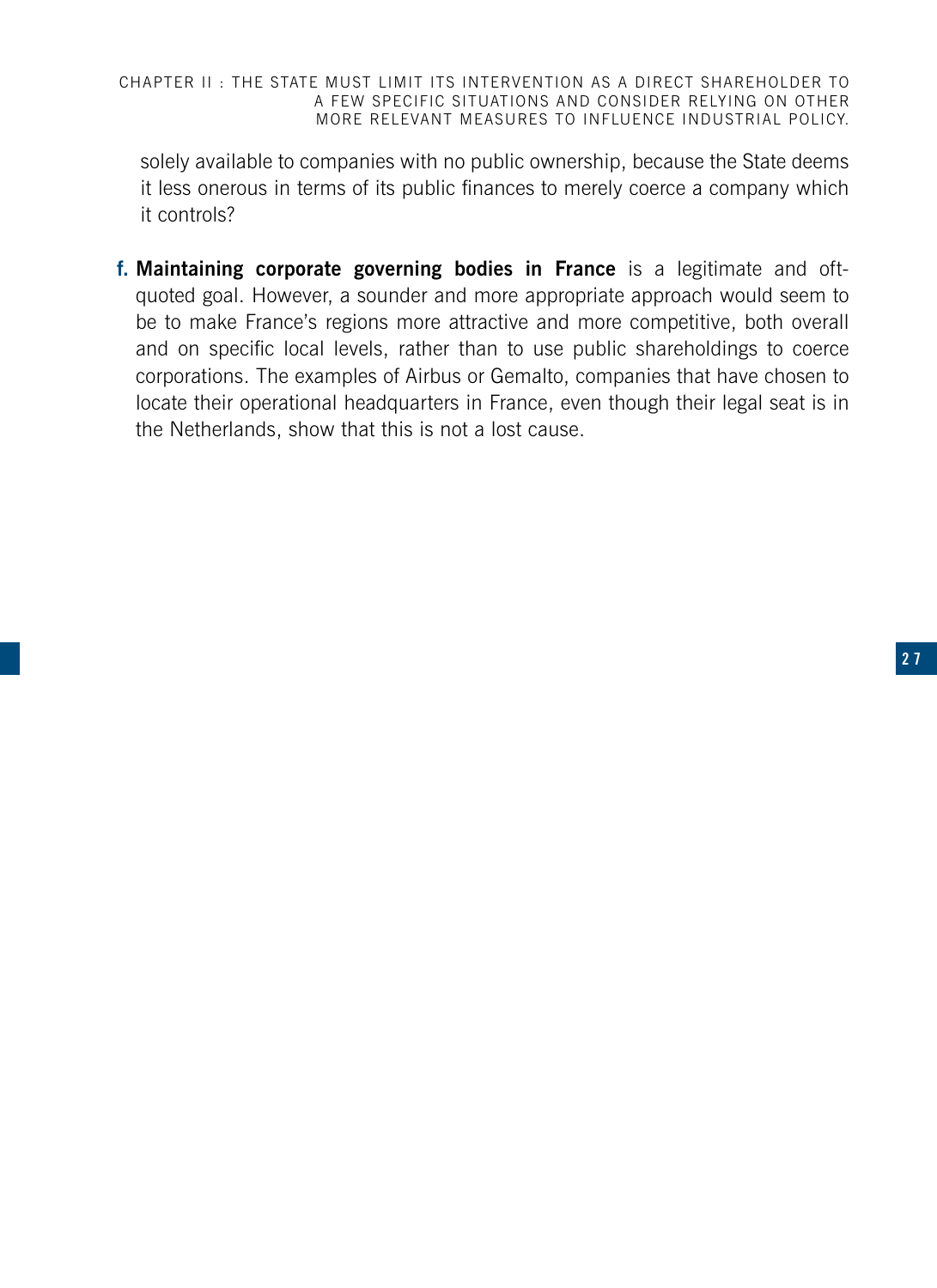CHAPTER II : THE STATE MUST LIMIT ITS INTERVENTION AS A DIRECT SHAREHOLDER TO A FEW SPECIFIC SITUATIONS AND CONSIDER RELYING ON OTHER MORE RELEVANT MEASURES TO INFLUENCE INDUSTRIAL POLICY.

solely available to companies with no public ownership, because the State deems it less onerous in terms of its public finances to merely coerce a company which it controls?

**f. Maintaining corporate governing bodies in France** is a legitimate and oftquoted goal. However, a sounder and more appropriate approach would seem to be to make France's regions more attractive and more competitive, both overall and on specific local levels, rather than to use public shareholdings to coerce corporations. The examples of Airbus or Gemalto, companies that have chosen to locate their operational headquarters in France, even though their legal seat is in the Netherlands, show that this is not a lost cause.

**2 6 2 7**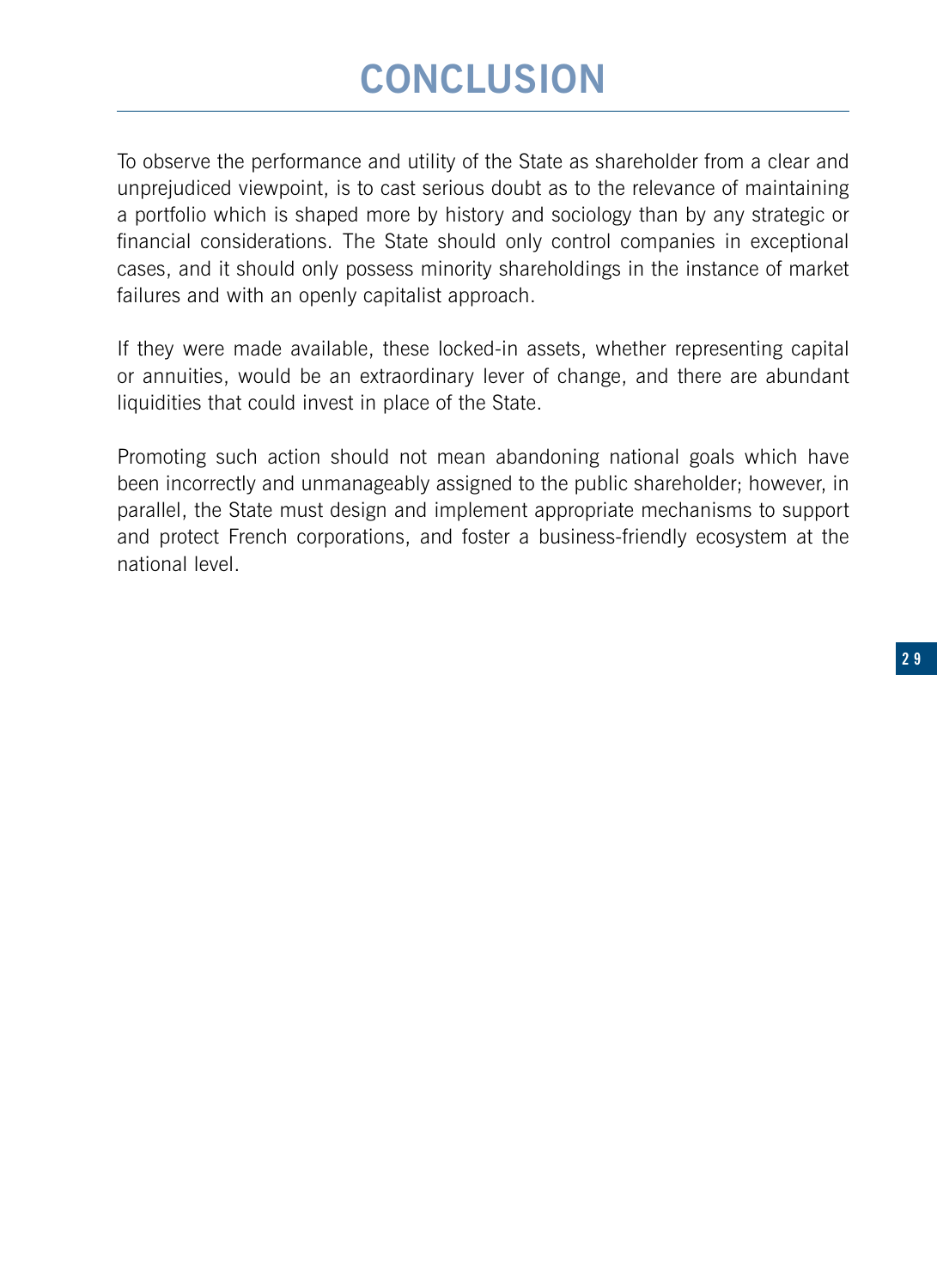## **CONCLUSION**

To observe the performance and utility of the State as shareholder from a clear and unprejudiced viewpoint, is to cast serious doubt as to the relevance of maintaining a portfolio which is shaped more by history and sociology than by any strategic or financial considerations. The State should only control companies in exceptional cases, and it should only possess minority shareholdings in the instance of market failures and with an openly capitalist approach.

If they were made available, these locked-in assets, whether representing capital or annuities, would be an extraordinary lever of change, and there are abundant liquidities that could invest in place of the State.

Promoting such action should not mean abandoning national goals which have been incorrectly and unmanageably assigned to the public shareholder; however, in parallel, the State must design and implement appropriate mechanisms to support and protect French corporations, and foster a business-friendly ecosystem at the national level.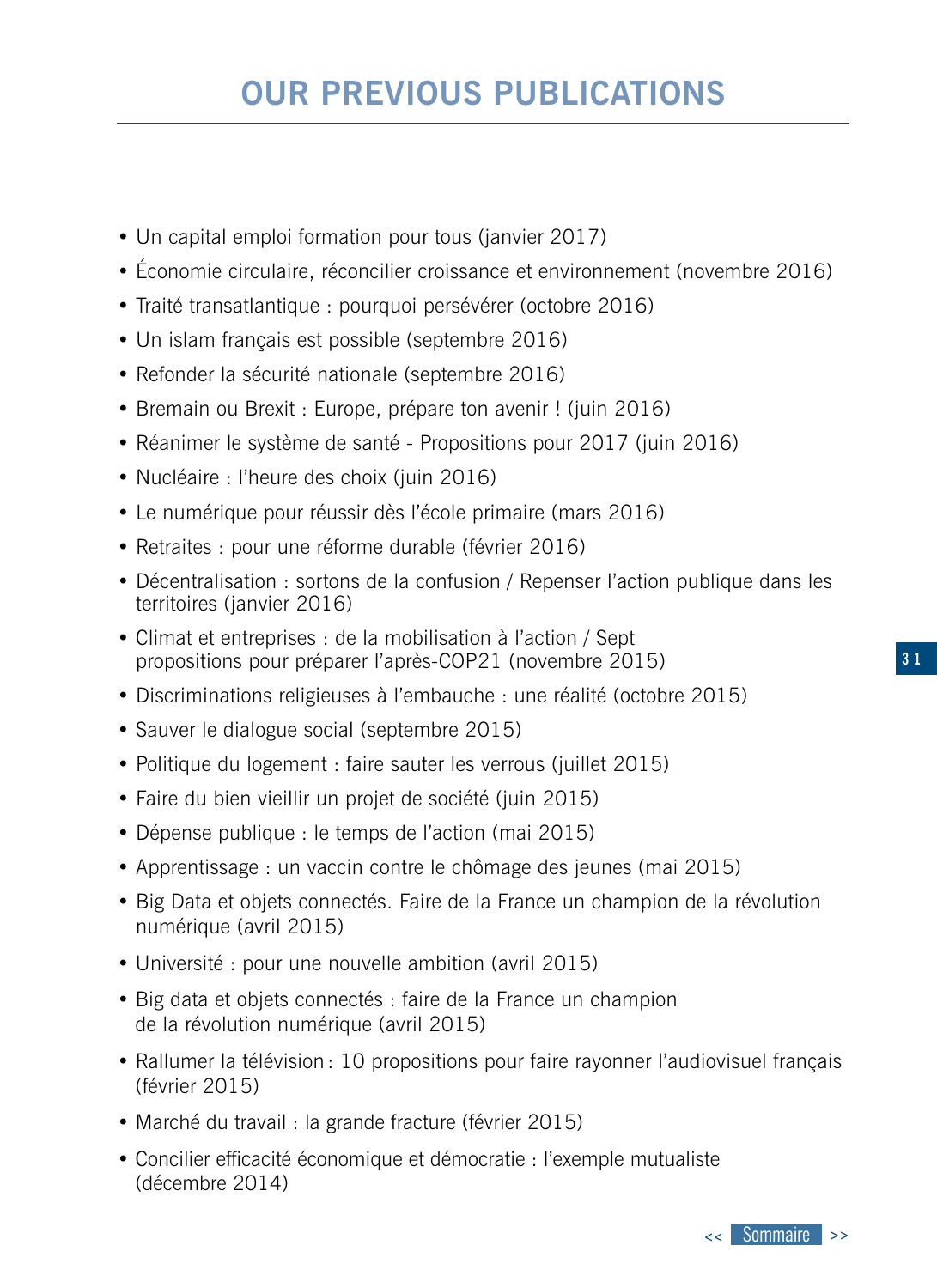## **OUR PREVIOUS PUBLICATIONS**

- Un capital emploi formation pour tous (janvier 2017)
- Économie circulaire, réconcilier croissance et environnement (novembre 2016)
- Traité transatlantique : pourquoi persévérer (octobre 2016)
- Un islam français est possible (septembre 2016)
- Refonder la sécurité nationale (septembre 2016)
- Bremain ou Brexit : Europe, prépare ton avenir ! (juin 2016)
- Réanimer le système de santé Propositions pour 2017 (juin 2016)
- Nucléaire : l'heure des choix (juin 2016)
- Le numérique pour réussir dès l'école primaire (mars 2016)
- Retraites : pour une réforme durable (février 2016)
- Décentralisation : sortons de la confusion / Repenser l'action publique dans les territoires (janvier 2016)
- Climat et entreprises : de la mobilisation à l'action / Sept propositions pour préparer l'après-COP21 (novembre 2015)
- Discriminations religieuses à l'embauche : une réalité (octobre 2015)
- Sauver le dialogue social (septembre 2015)
- Politique du logement : faire sauter les verrous (juillet 2015)
- Faire du bien vieillir un projet de société (juin 2015)
- Dépense publique : le temps de l'action (mai 2015)
- Apprentissage : un vaccin contre le chômage des jeunes (mai 2015)
- Big Data et objets connectés. Faire de la France un champion de la révolution numérique (avril 2015)
- Université : pour une nouvelle ambition (avril 2015)
- Big data et objets connectés : faire de la France un champion de la révolution numérique (avril 2015)
- Rallumer la télévision : 10 propositions pour faire rayonner l'audiovisuel français (février 2015)
- Marché du travail : la grande fracture (février 2015)
- Concilier efficacité économique et démocratie : l'exemple mutualiste (décembre 2014)

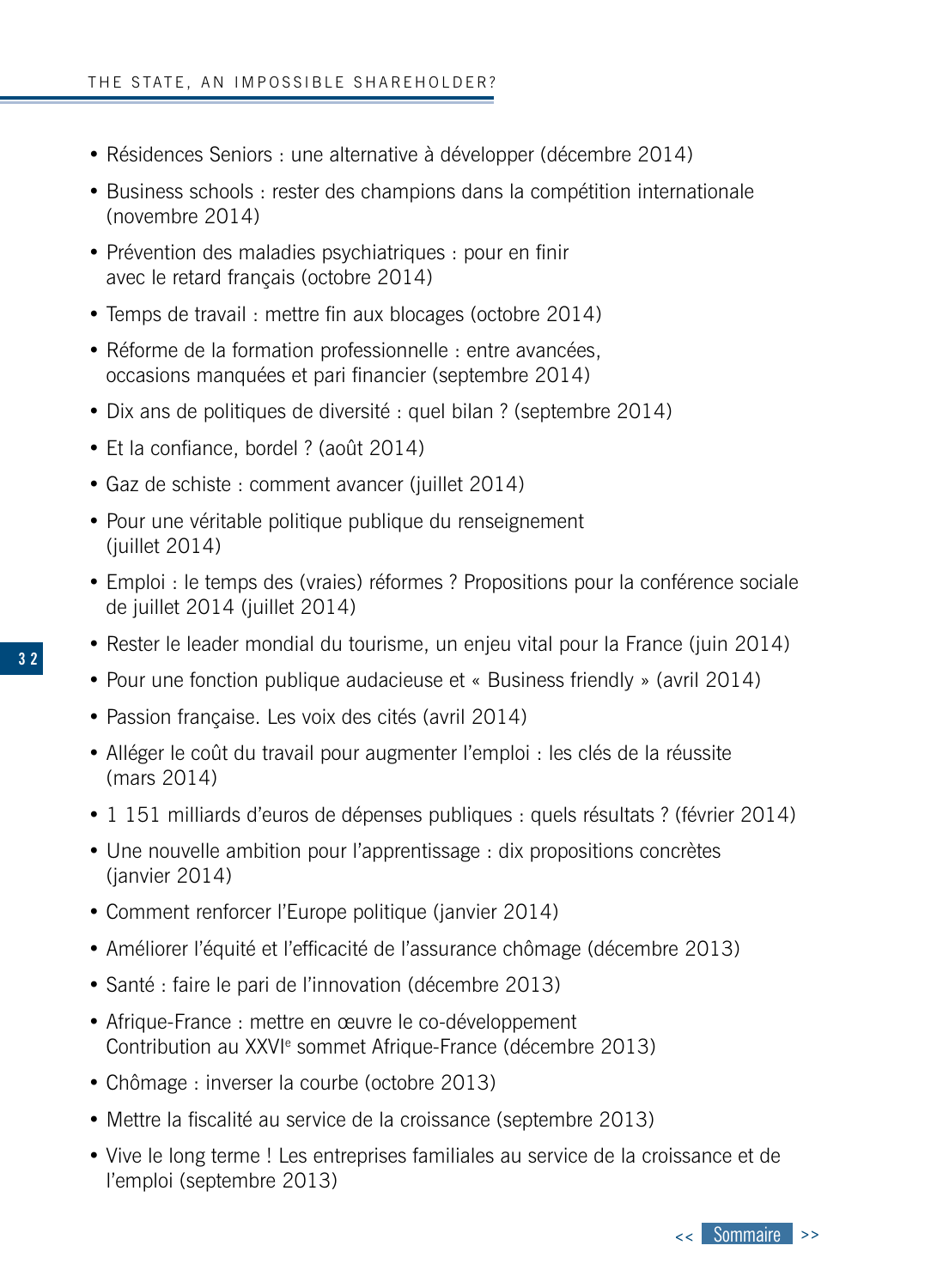- Résidences Seniors : une alternative à développer (décembre 2014)
- Business schools : rester des champions dans la compétition internationale (novembre 2014)
- Prévention des maladies psychiatriques : pour en finir avec le retard français (octobre 2014)
- Temps de travail : mettre fin aux blocages (octobre 2014)
- Réforme de la formation professionnelle : entre avancées, occasions manquées et pari financier (septembre 2014)
- Dix ans de politiques de diversité : quel bilan ? (septembre 2014)
- Et la confiance, bordel ? (août 2014)
- Gaz de schiste : comment avancer (juillet 2014)
- Pour une véritable politique publique du renseignement (juillet 2014)
- Emploi : le temps des (vraies) réformes ? Propositions pour la conférence sociale de juillet 2014 (juillet 2014)
- Rester le leader mondial du tourisme, un enjeu vital pour la France (juin 2014)
- Pour une fonction publique audacieuse et « Business friendly » (avril 2014)
- Passion française. Les voix des cités (avril 2014)
- Alléger le coût du travail pour augmenter l'emploi : les clés de la réussite (mars 2014)
- 1 151 milliards d'euros de dépenses publiques : quels résultats ? (février 2014)
- Une nouvelle ambition pour l'apprentissage : dix propositions concrètes (janvier 2014)
- Comment renforcer l'Europe politique (janvier 2014)
- Améliorer l'équité et l'efficacité de l'assurance chômage (décembre 2013)
- Santé : faire le pari de l'innovation (décembre 2013)
- Afrique-France : mettre en œuvre le co-développement Contribution au XXVI<sup>e</sup> sommet Afrique-France (décembre 2013)
- Chômage : inverser la courbe (octobre 2013)
- Mettre la fiscalité au service de la croissance (septembre 2013)
- Vive le long terme ! Les entreprises familiales au service de la croissance et de l'emploi (septembre 2013)

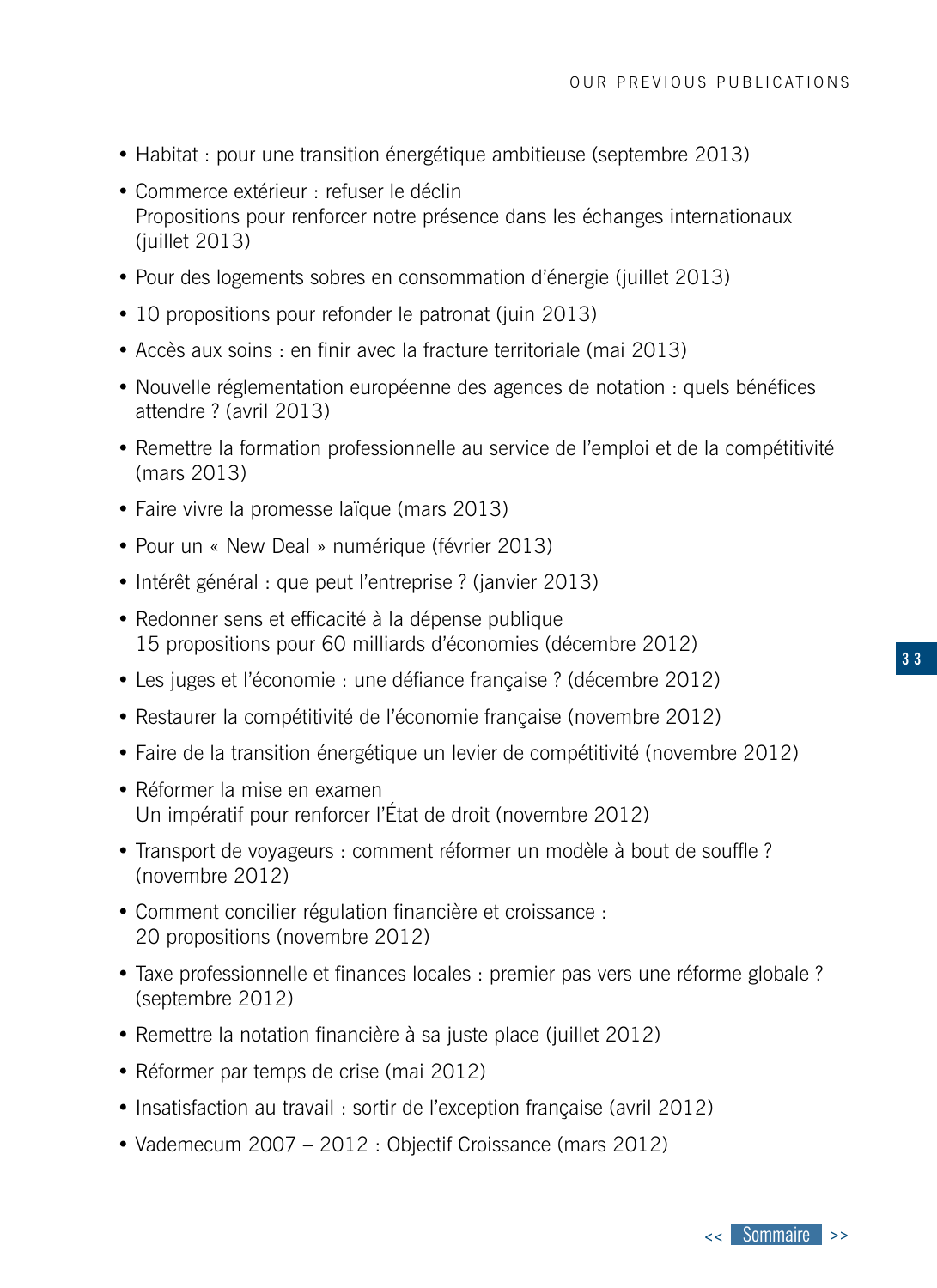- Habitat : pour une transition énergétique ambitieuse (septembre 2013)
- Commerce extérieur : refuser le déclin Propositions pour renforcer notre présence dans les échanges internationaux (iuillet 2013)
- Pour des logements sobres en consommation d'énergie (juillet 2013)
- 10 propositions pour refonder le patronat (juin 2013)
- Accès aux soins : en finir avec la fracture territoriale (mai 2013)
- Nouvelle réglementation européenne des agences de notation : quels bénéfices attendre ? (avril 2013)
- Remettre la formation professionnelle au service de l'emploi et de la compétitivité (mars 2013)
- Faire vivre la promesse laïque (mars 2013)
- Pour un « New Deal » numérique (février 2013)
- Intérêt général : que peut l'entreprise ? (janvier 2013)
- Redonner sens et efficacité à la dépense publique 15 propositions pour 60 milliards d'économies (décembre 2012)
- Les juges et l'économie : une défiance française ? (décembre 2012)
- Restaurer la compétitivité de l'économie française (novembre 2012)
- Faire de la transition énergétique un levier de compétitivité (novembre 2012)
- Réformer la mise en examen Un impératif pour renforcer l'État de droit (novembre 2012)
- Transport de voyageurs : comment réformer un modèle à bout de souffle ? (novembre 2012)
- Comment concilier régulation financière et croissance : 20 propositions (novembre 2012)
- Taxe professionnelle et finances locales : premier pas vers une réforme globale ? (septembre 2012)
- Remettre la notation financière à sa juste place (juillet 2012)
- Réformer par temps de crise (mai 2012)
- Insatisfaction au travail : sortir de l'exception française (avril 2012)
- Vademecum 2007 2012 : Objectif Croissance (mars 2012)

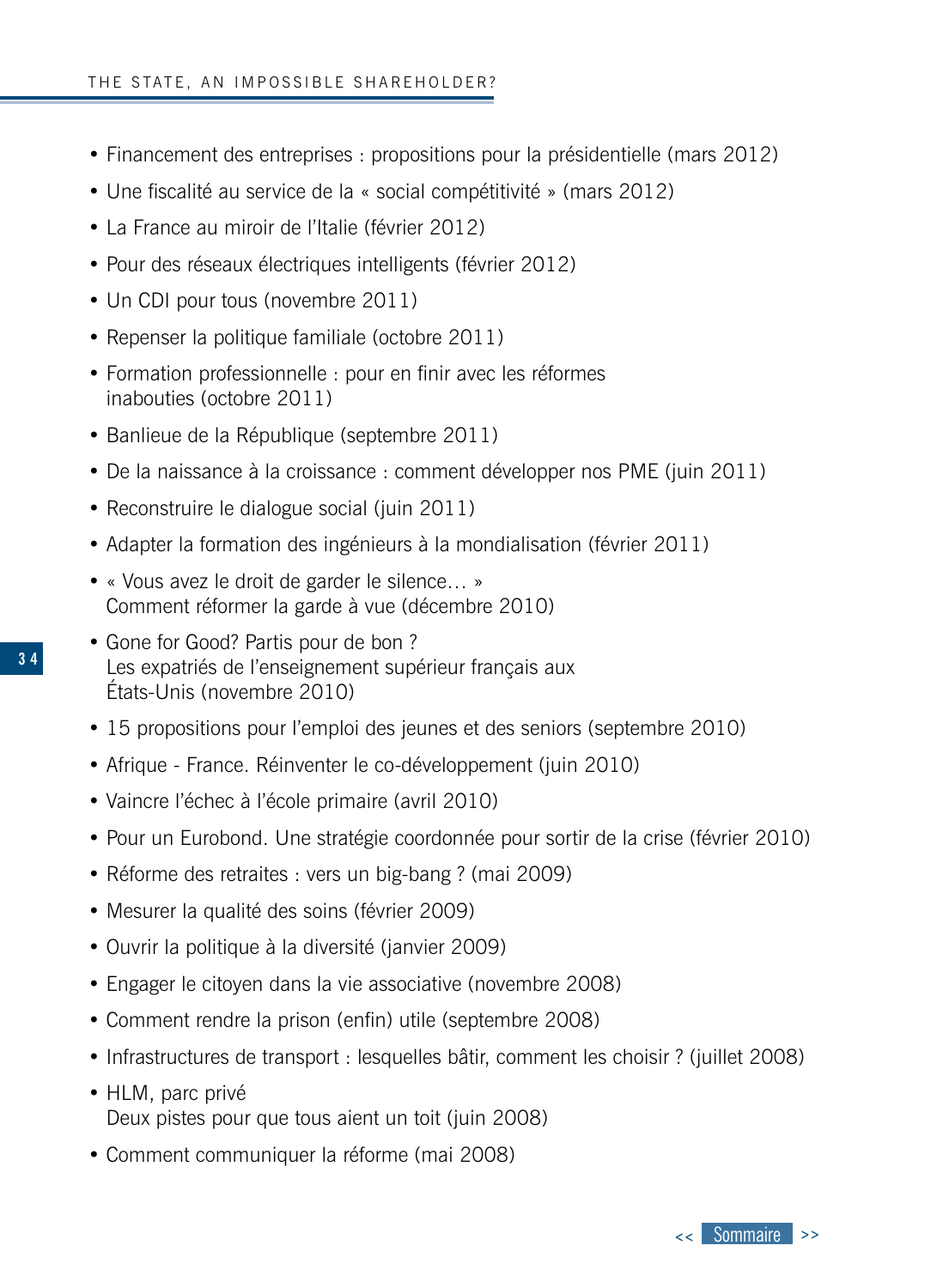- Financement des entreprises : propositions pour la présidentielle (mars 2012)
- Une fiscalité au service de la « social compétitivité » (mars 2012)
- La France au miroir de l'Italie (février 2012)
- Pour des réseaux électriques intelligents (février 2012)
- Un CDI pour tous (novembre 2011)
- Repenser la politique familiale (octobre 2011)
- Formation professionnelle : pour en finir avec les réformes inabouties (octobre 2011)
- Banlieue de la République (septembre 2011)
- De la naissance à la croissance : comment développer nos PME (juin 2011)
- Reconstruire le dialogue social (juin 2011)
- Adapter la formation des ingénieurs à la mondialisation (février 2011)
- « Vous avez le droit de garder le silence… » Comment réformer la garde à vue (décembre 2010)
- Gone for Good? Partis pour de bon ? Les expatriés de l'enseignement supérieur français aux États-Unis (novembre 2010)
- 15 propositions pour l'emploi des jeunes et des seniors (septembre 2010)
- Afrique France. Réinventer le co-développement (juin 2010)
- Vaincre l'échec à l'école primaire (avril 2010)
- Pour un Eurobond. Une stratégie coordonnée pour sortir de la crise (février 2010)
- Réforme des retraites : vers un big-bang ? (mai 2009)
- Mesurer la qualité des soins (février 2009)
- Ouvrir la politique à la diversité (janvier 2009)
- Engager le citoyen dans la vie associative (novembre 2008)
- Comment rendre la prison (enfin) utile (septembre 2008)
- Infrastructures de transport : lesquelles bâtir, comment les choisir ? (juillet 2008)
- HLM, parc privé Deux pistes pour que tous aient un toit (juin 2008)
- Comment communiquer la réforme (mai 2008)

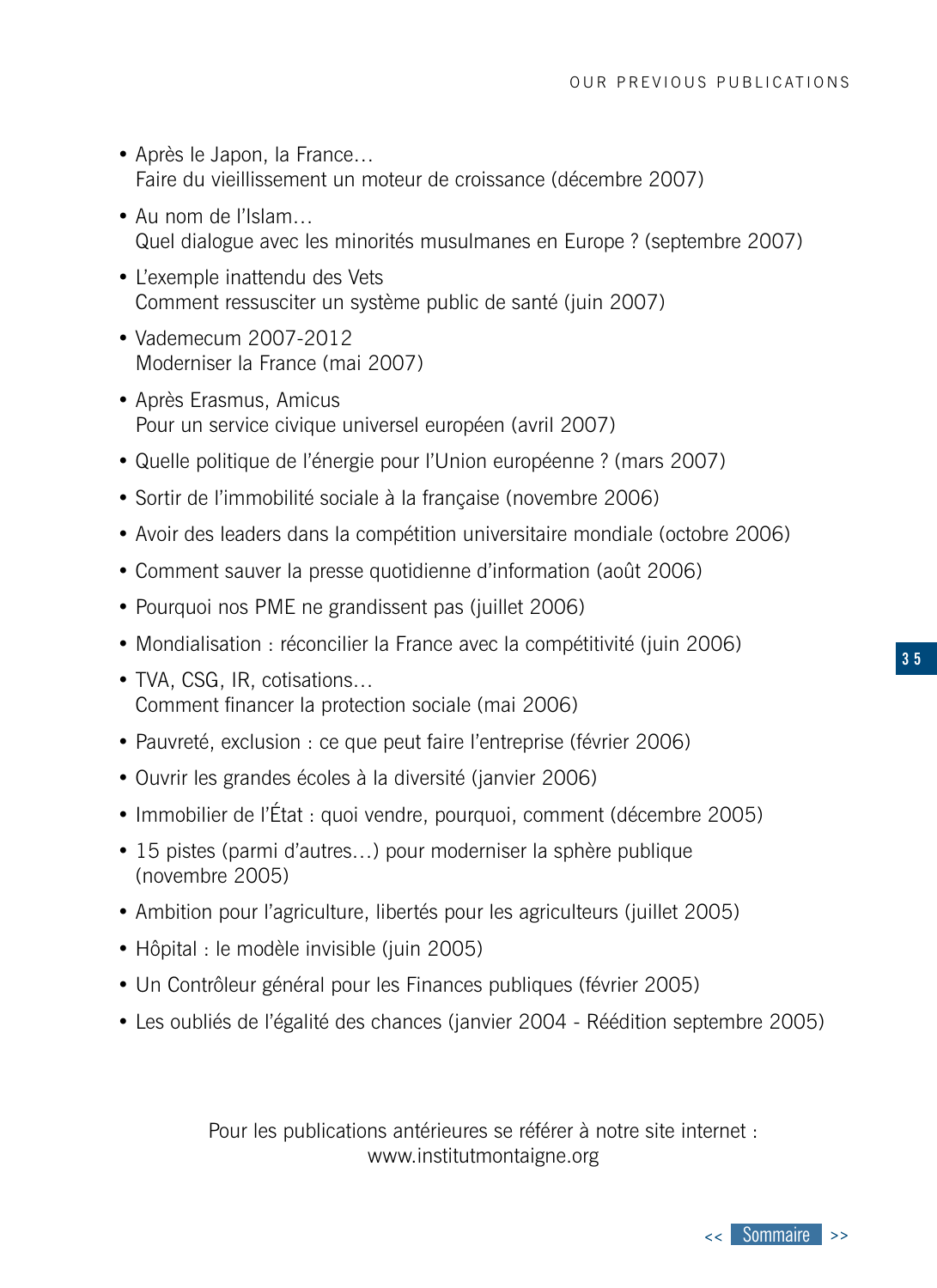- Après le Japon, la France… Faire du vieillissement un moteur de croissance (décembre 2007)
- Au nom de l'Islam… Quel dialogue avec les minorités musulmanes en Europe ? (septembre 2007)
- L'exemple inattendu des Vets Comment ressusciter un système public de santé (juin 2007)
- Vademecum 2007-2012 Moderniser la France (mai 2007)
- Après Erasmus, Amicus Pour un service civique universel européen (avril 2007)
- Quelle politique de l'énergie pour l'Union européenne ? (mars 2007)
- Sortir de l'immobilité sociale à la française (novembre 2006)
- Avoir des leaders dans la compétition universitaire mondiale (octobre 2006)
- Comment sauver la presse quotidienne d'information (août 2006)
- Pourquoi nos PME ne grandissent pas (juillet 2006)
- Mondialisation : réconcilier la France avec la compétitivité (juin 2006)
- TVA, CSG, IR, cotisations… Comment financer la protection sociale (mai 2006)
- Pauvreté, exclusion : ce que peut faire l'entreprise (février 2006)
- Ouvrir les grandes écoles à la diversité (janvier 2006)
- Immobilier de l'État : quoi vendre, pourquoi, comment (décembre 2005)
- 15 pistes (parmi d'autres…) pour moderniser la sphère publique (novembre 2005)
- Ambition pour l'agriculture, libertés pour les agriculteurs (juillet 2005)
- Hôpital : le modèle invisible (juin 2005)
- Un Contrôleur général pour les Finances publiques (février 2005)
- Les oubliés de l'égalité des chances (janvier 2004 Réédition septembre 2005)

Pour les publications antérieures se référer à notre site internet : www.institutmontaigne.org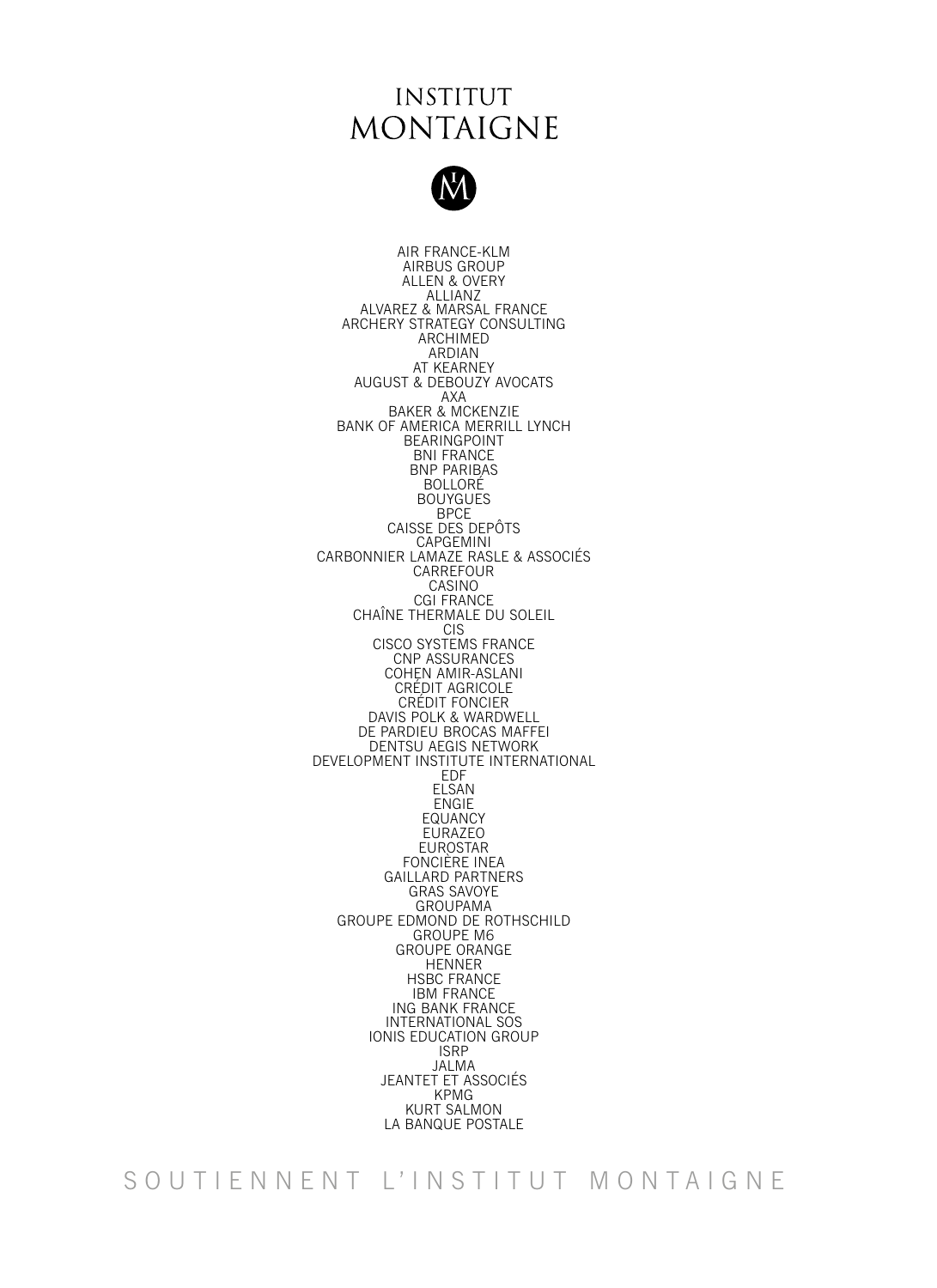### **INSTITUT MONTAIGNE**



AIR FRANCE-KLM AIRBUS GROUP ALLEN & OVERY ALLIANZ ALVAREZ & MARSAL FRANCE ARCHERY STRATEGY CONSULTING ARCHIMED ARDIAN AT KEARNEY AUGUST & DEBOUZY AVOCATS AXA BAKER & MCKENZIE BANK OF AMERICA MERRILL LYNCH BEARINGPOINT BNI FRANCE BNP PARIBAS BOLLORÉ BOUYGUES **BPCE** CAISSE DES DEPÔTS CAPGEMINI CARBONNIER LAMAZE RASLE & ASSOCIÉS **CARREFOUR** CASINO CGI FRANCE CHAÎNE THERMALE DU SOLEIL CIS CISCO SYSTEMS FRANCE CNP ASSURANCES COHEN AMIR-ASLANI CRÉDIT AGRICOLE CRÉDIT FONCIER DAVIS POLK & WARDWELL DE PARDIEU BROCAS MAFFEI DENTSU AEGIS NETWORK DEVELOPMENT INSTITUTE INTERNATIONAL EDF ELSAN ENGIE EQUANCY EURAZEO EUROSTAR FONCIÈRE INEA GAILLARD PARTNERS GRAS SAVOYE GROUPAMA GROUPE EDMOND DE ROTHSCHILD GROUPE M6 GROUPE ORANGE HENNER HSBC FRANCE **IBM FRANCE** ING BANK FRANCE INTERNATIONAL SOS IONIS EDUCATION GROUP ISRP JALMA JEANTET ET ASSOCIÉS KPMG KURT SALMON LA BANQUE POSTALE

SOUTIENNENT L'INSTITUT MONTAIGNE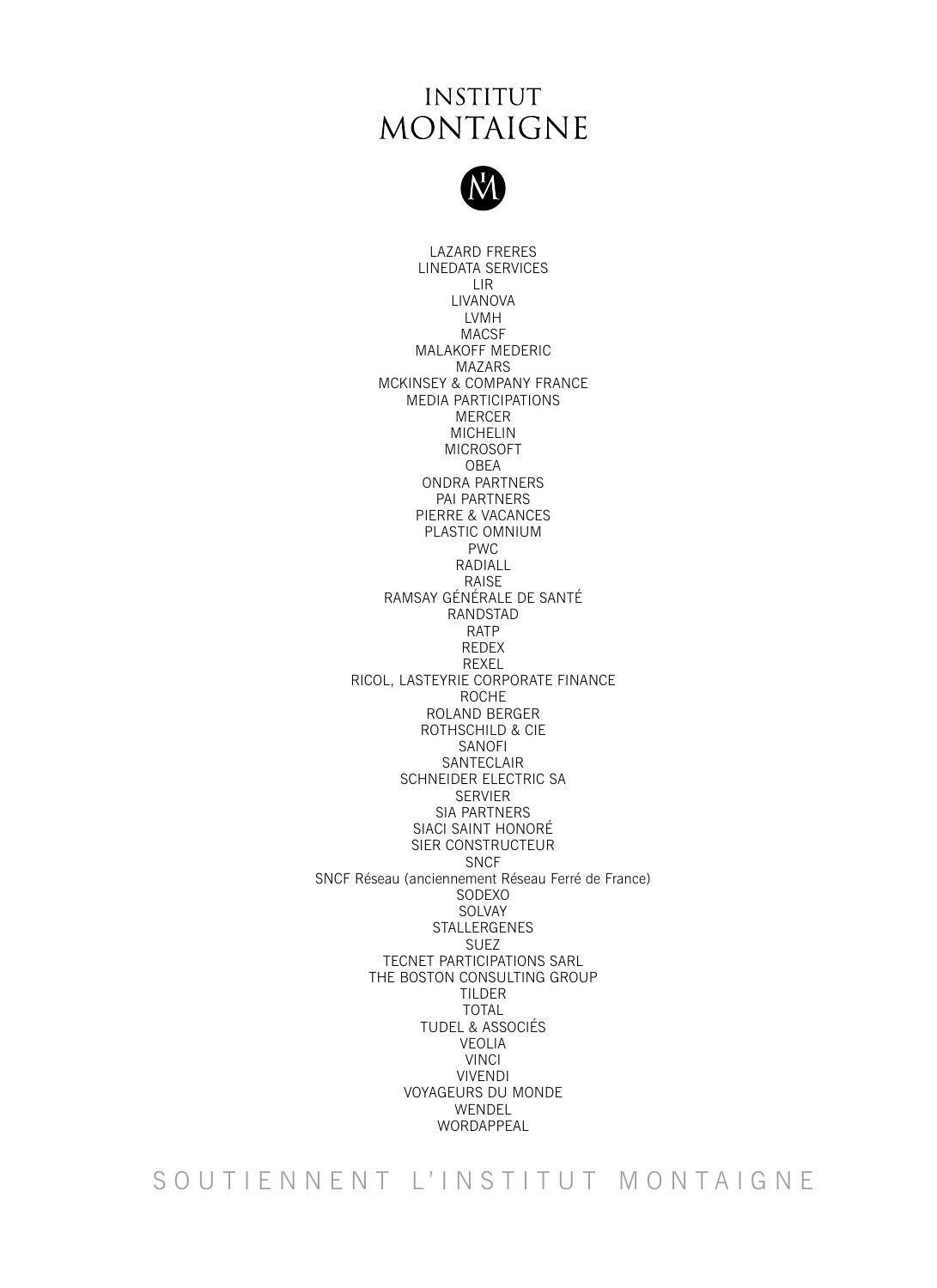## **INSTITUT MONTAIGNE**



LAZARD FRERES LINEDATA SERVICES LIR LIVANOVA LVMH MACSF MALAKOFF MEDERIC MAZARS MCKINSEY & COMPANY FRANCE MEDIA PARTICIPATIONS MERCER MICHELIN MICROSOFT OBEA ONDRA PARTNERS PAI PARTNERS PIERRE & VACANCES PLASTIC OMNIUM PWC RADIALL RAISE RAMSAY GÉNÉRALE DE SANTÉ RANDSTAD RATP REDEX REXEL RICOL, LASTEYRIE CORPORATE FINANCE ROCHE ROLAND BERGER ROTHSCHILD & CIE SANOFI SANTECLAIR SCHNEIDER ELECTRIC SA SERVIER SIA PARTNERS SIACI SAINT HONORÉ SIER CONSTRUCTEUR SNCF SNCF Réseau (anciennement Réseau Ferré de France) SODEXO SOLVAY STALLERGENES SUEZ TECNET PARTICIPATIONS SARL THE BOSTON CONSULTING GROUP TILDER TOTAL TUDEL & ASSOCIÉS VEOLIA VINCI VIVENDI VOYAGEURS DU MONDE WENDEL WORDAPPEAL

SOUTIENNENT L'INSTITUT MONTAIGNE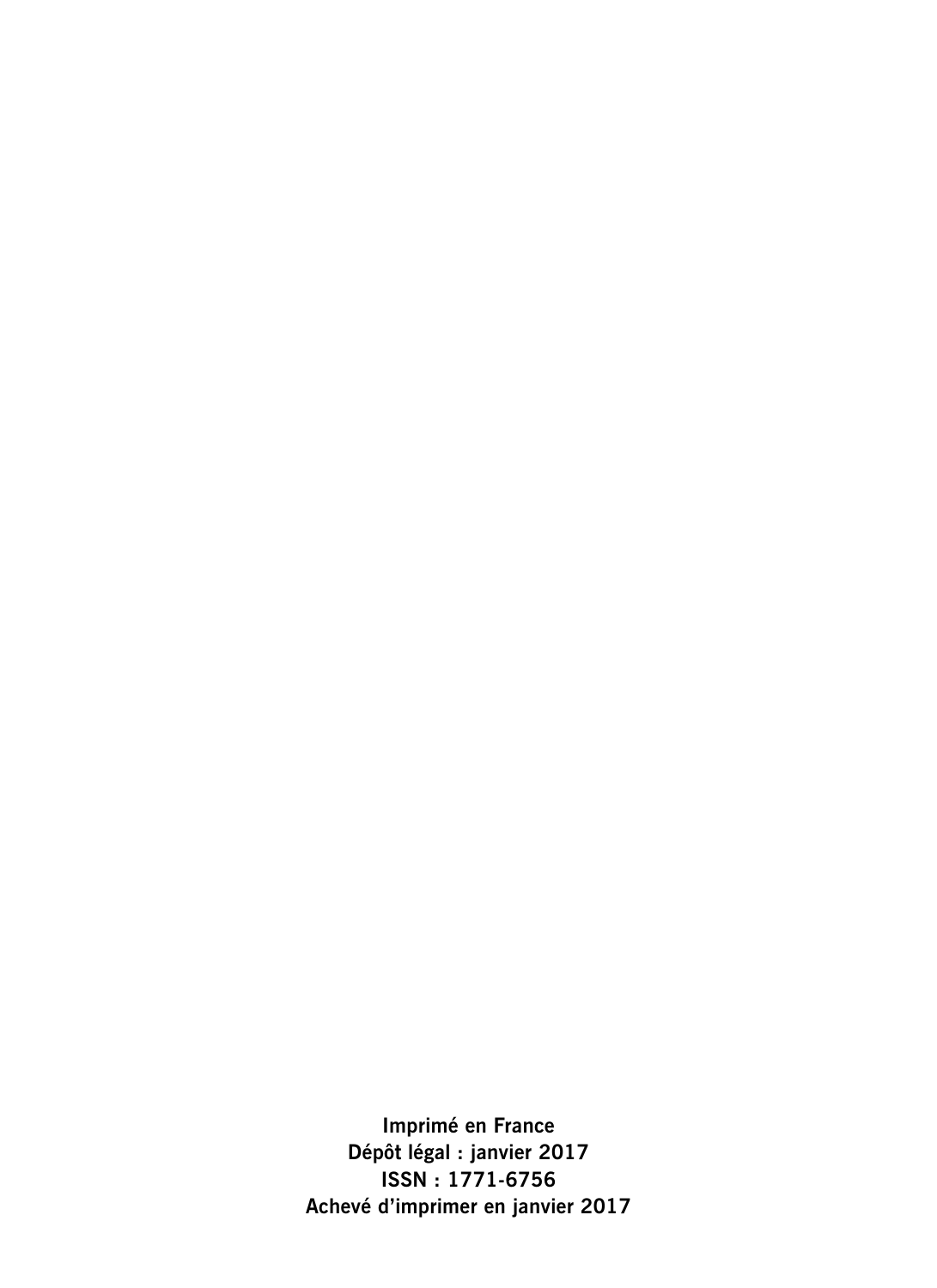**Imprimé en France Dépôt légal : janvier 2017 ISSN : 1771-6756 Achevé d'imprimer en janvier 2017**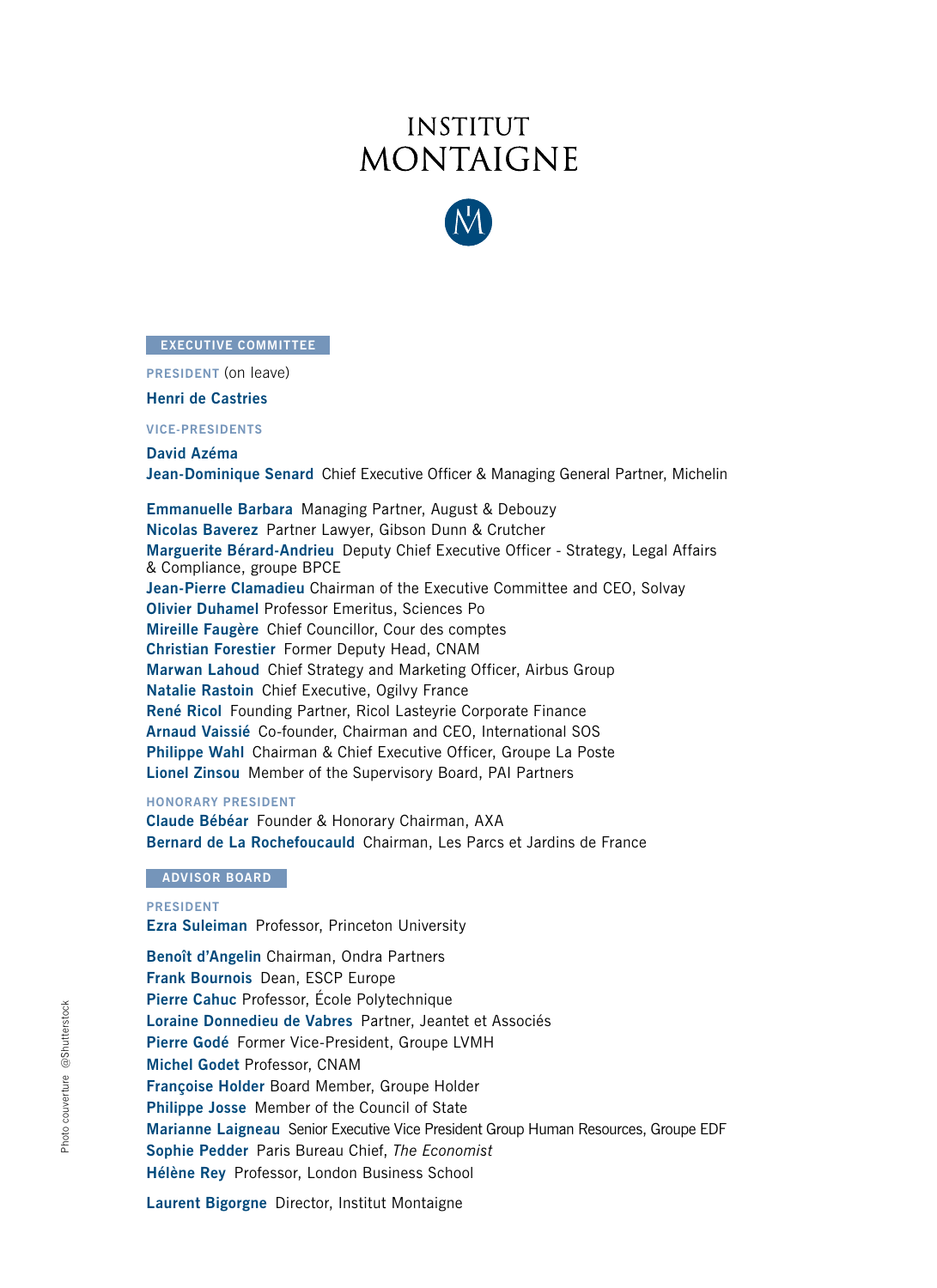## **INSTITUT MONTAIGNE**



#### **EXECUTIVE COMMITTEE**

**Claude Bébéar** Président **PRESIDENT** (on leave)

**Henri Lachmann** Vice-président et trésorier **Henri de Castries**

**VICE-PRESIDENTS**

**Nicolas Baverez** Économiste, avocat **David Azéma Jean-Dominique Senard** Chief Executive Officer & Managing General Partner, Michelin

**Emmanuelle Barbara** Managing Partner, August & Debouzy **Christian Forestier** Ancien recteur **Nicolas Baverez** Partner Lawyer, Gibson Dunn & Crutcher **Michel Godet** Professeur, Cnam **Marguerite Bérard-Andrieu** Deputy Chief Executive Officer - Strategy, Legal Affairs & Compliance, groupe BPCE Jean-Pierre Clamadieu Chairman of the Executive Committee and CEO, Solvay **Olivier Duhamel Professor Emeritus, Sciences Po Mireille Faugère** Chief Councillor, Cour des comptes<br>Christian Faugère Fauger Deputy Used, CNAM **Marwan Lahoud** Chief Strategy and Marketing Officer, Airbus Group et president de la Chambre de Chambre de Chambre de Chambre de Chambre de Chambre de Chambre de Chambre de Cha<br>Natalie Rastoin Chief Executive, Ogilvy France René Ricol Founding Partner, Ricol Lasteyrie Corporate Finance **Arnaud Vaissié Co-founder, Chairman and CEO, International SOS** Lionel Zinsou Member of the Supervisory Board, PAI Partners **Christian Forestier** Former Deputy Head, CNAM **Philippe Wahl** Chairman & Chief Executive Officer, Groupe La Poste

### **Bernard de La Rochefoucauld** Fondateur, Institut La Boétie **HONORARY PRESIDENT**

Bernard de La Rochefoucauld Chairman, Les Parcs et Jardins de France **Claude Bébéar** Founder & Honorary Chairman, AXA

#### **PRÉSIDENT ADVISOR BOARD EXPRESSEUR, PROFESSION UNIVERSITY PROPERTY**

**FRECIFIM**: **Ezra Suleiman** Professor, Princeton University **PRESIDENT**

**Pierre Cahuc** Professeur d'économie, École Polytechnique **Benoît d'Angelin** Chairman, Ondra Partners **Loraine Commentary Construction Commentary Commentary and Secretary Avocates and Secretary Avocates and Secretary Avocates and Secretary Avocates** *Frank Bournois* **Dean, ESCP Europe** Pierre Cahuc Professor, École Polytechnique Loraine Donnedieu de Vabres Partner, Jeantet et Associés Pierre Godé Former Vice-President, Groupe LVMH **Sophie Pedder** Correspondante à Paris, *The Economist* **Michel Godet** Professor, CNAM **Françoise Holder Board Member, Groupe Holder**<br>Françoise Holder Board Member, Groupe Holder Marianne Laigneau Senior Executive Vice President Group Human Resources, Groupe EDF **Philippe Josse** Member of the Council of State **Sophie Pedder** Paris Bureau Chief, *The Economist* **Hélène Rey** Professor, London Business School

**Laurent Bigorgne** Director, Institut Montaigne